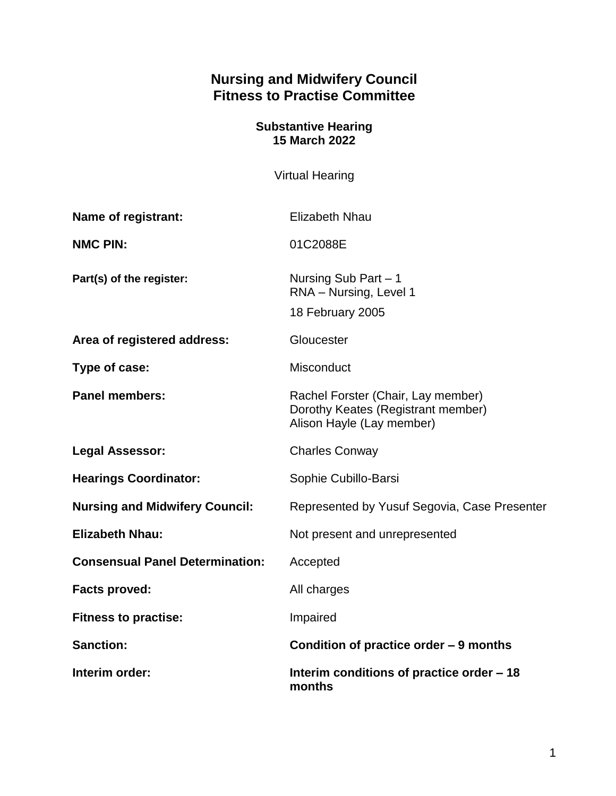# **Nursing and Midwifery Council Fitness to Practise Committee**

## **Substantive Hearing 15 March 2022**

Virtual Hearing

| <b>Name of registrant:</b>             | <b>Elizabeth Nhau</b>                                                                                 |
|----------------------------------------|-------------------------------------------------------------------------------------------------------|
| <b>NMC PIN:</b>                        | 01C2088E                                                                                              |
| Part(s) of the register:               | Nursing Sub Part - 1<br>RNA - Nursing, Level 1<br>18 February 2005                                    |
| Area of registered address:            | Gloucester                                                                                            |
| Type of case:                          | Misconduct                                                                                            |
| <b>Panel members:</b>                  | Rachel Forster (Chair, Lay member)<br>Dorothy Keates (Registrant member)<br>Alison Hayle (Lay member) |
| <b>Legal Assessor:</b>                 | <b>Charles Conway</b>                                                                                 |
| <b>Hearings Coordinator:</b>           | Sophie Cubillo-Barsi                                                                                  |
| <b>Nursing and Midwifery Council:</b>  | Represented by Yusuf Segovia, Case Presenter                                                          |
| <b>Elizabeth Nhau:</b>                 | Not present and unrepresented                                                                         |
| <b>Consensual Panel Determination:</b> | Accepted                                                                                              |
| <b>Facts proved:</b>                   | All charges                                                                                           |
| <b>Fitness to practise:</b>            | Impaired                                                                                              |
| <b>Sanction:</b>                       | Condition of practice order - 9 months                                                                |
| Interim order:                         | Interim conditions of practice order – 18<br>months                                                   |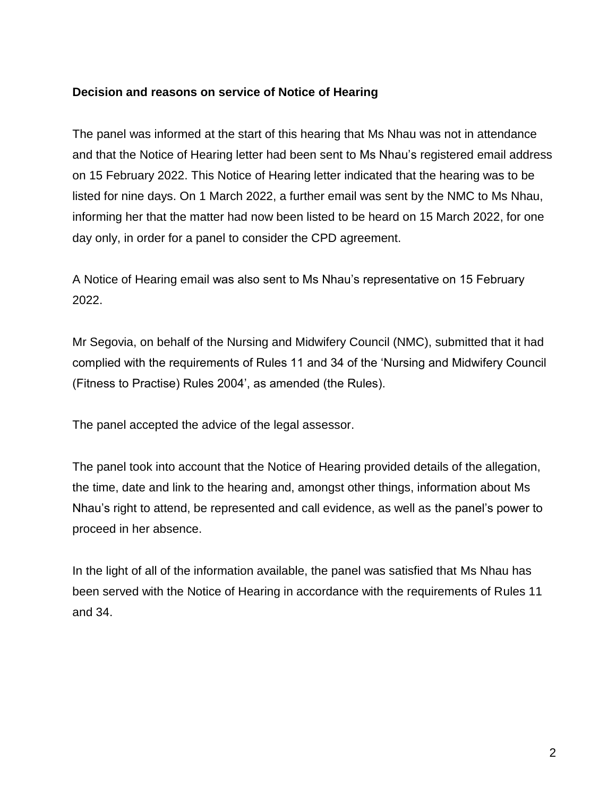### **Decision and reasons on service of Notice of Hearing**

The panel was informed at the start of this hearing that Ms Nhau was not in attendance and that the Notice of Hearing letter had been sent to Ms Nhau's registered email address on 15 February 2022. This Notice of Hearing letter indicated that the hearing was to be listed for nine days. On 1 March 2022, a further email was sent by the NMC to Ms Nhau, informing her that the matter had now been listed to be heard on 15 March 2022, for one day only, in order for a panel to consider the CPD agreement.

A Notice of Hearing email was also sent to Ms Nhau's representative on 15 February 2022.

Mr Segovia, on behalf of the Nursing and Midwifery Council (NMC), submitted that it had complied with the requirements of Rules 11 and 34 of the 'Nursing and Midwifery Council (Fitness to Practise) Rules 2004', as amended (the Rules).

The panel accepted the advice of the legal assessor.

The panel took into account that the Notice of Hearing provided details of the allegation, the time, date and link to the hearing and, amongst other things, information about Ms Nhau's right to attend, be represented and call evidence, as well as the panel's power to proceed in her absence.

In the light of all of the information available, the panel was satisfied that Ms Nhau has been served with the Notice of Hearing in accordance with the requirements of Rules 11 and 34.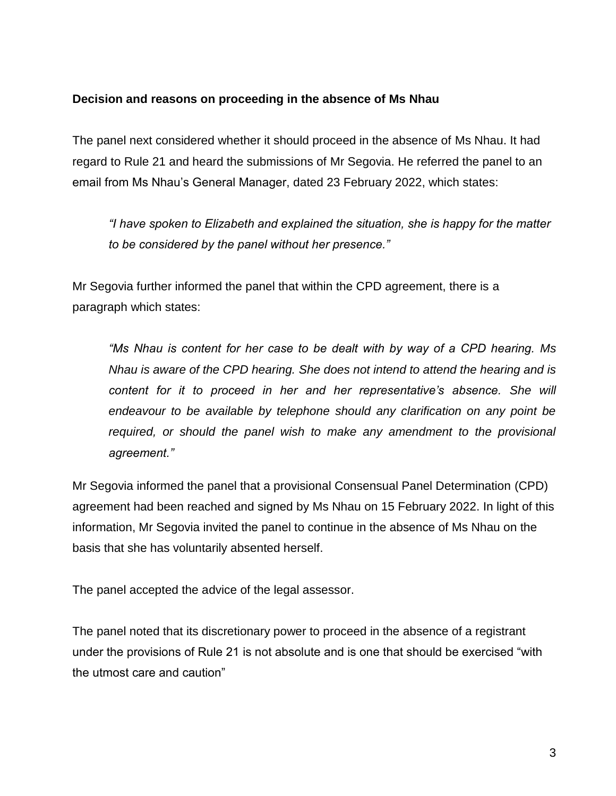## **Decision and reasons on proceeding in the absence of Ms Nhau**

The panel next considered whether it should proceed in the absence of Ms Nhau. It had regard to Rule 21 and heard the submissions of Mr Segovia. He referred the panel to an email from Ms Nhau's General Manager, dated 23 February 2022, which states:

*"I have spoken to Elizabeth and explained the situation, she is happy for the matter to be considered by the panel without her presence."*

Mr Segovia further informed the panel that within the CPD agreement, there is a paragraph which states:

*"Ms Nhau is content for her case to be dealt with by way of a CPD hearing. Ms Nhau is aware of the CPD hearing. She does not intend to attend the hearing and is content for it to proceed in her and her representative's absence. She will endeavour to be available by telephone should any clarification on any point be*  required, or should the panel wish to make any amendment to the provisional *agreement."*

Mr Segovia informed the panel that a provisional Consensual Panel Determination (CPD) agreement had been reached and signed by Ms Nhau on 15 February 2022. In light of this information, Mr Segovia invited the panel to continue in the absence of Ms Nhau on the basis that she has voluntarily absented herself.

The panel accepted the advice of the legal assessor.

The panel noted that its discretionary power to proceed in the absence of a registrant under the provisions of Rule 21 is not absolute and is one that should be exercised "with the utmost care and caution"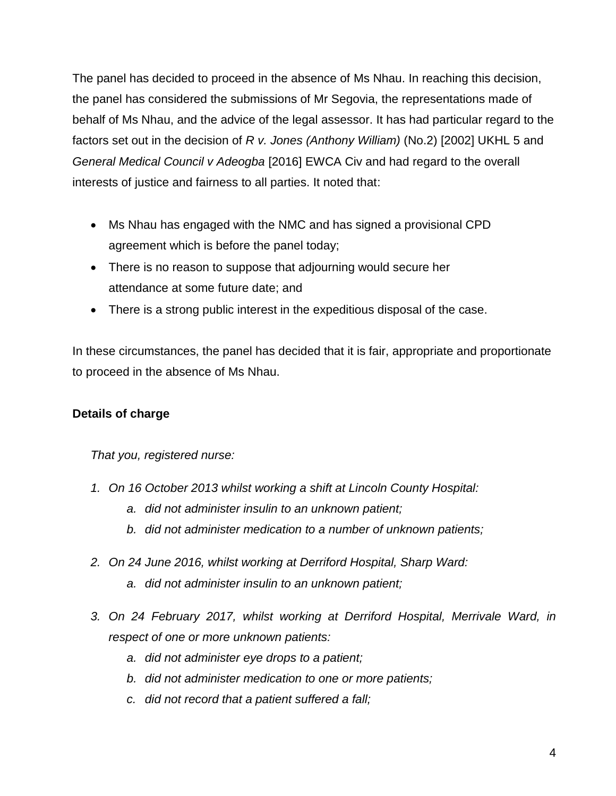The panel has decided to proceed in the absence of Ms Nhau. In reaching this decision, the panel has considered the submissions of Mr Segovia, the representations made of behalf of Ms Nhau, and the advice of the legal assessor. It has had particular regard to the factors set out in the decision of *R v. Jones (Anthony William)* (No.2) [2002] UKHL 5 and *General Medical Council v Adeogba* [2016] EWCA Civ and had regard to the overall interests of justice and fairness to all parties. It noted that:

- Ms Nhau has engaged with the NMC and has signed a provisional CPD agreement which is before the panel today;
- There is no reason to suppose that adjourning would secure her attendance at some future date; and
- There is a strong public interest in the expeditious disposal of the case.

In these circumstances, the panel has decided that it is fair, appropriate and proportionate to proceed in the absence of Ms Nhau.

# **Details of charge**

*That you, registered nurse:*

- *1. On 16 October 2013 whilst working a shift at Lincoln County Hospital:*
	- *a. did not administer insulin to an unknown patient;*
	- *b. did not administer medication to a number of unknown patients;*
- *2. On 24 June 2016, whilst working at Derriford Hospital, Sharp Ward:* 
	- *a. did not administer insulin to an unknown patient;*
- *3. On 24 February 2017, whilst working at Derriford Hospital, Merrivale Ward, in respect of one or more unknown patients:* 
	- *a. did not administer eye drops to a patient;*
	- *b. did not administer medication to one or more patients;*
	- *c. did not record that a patient suffered a fall;*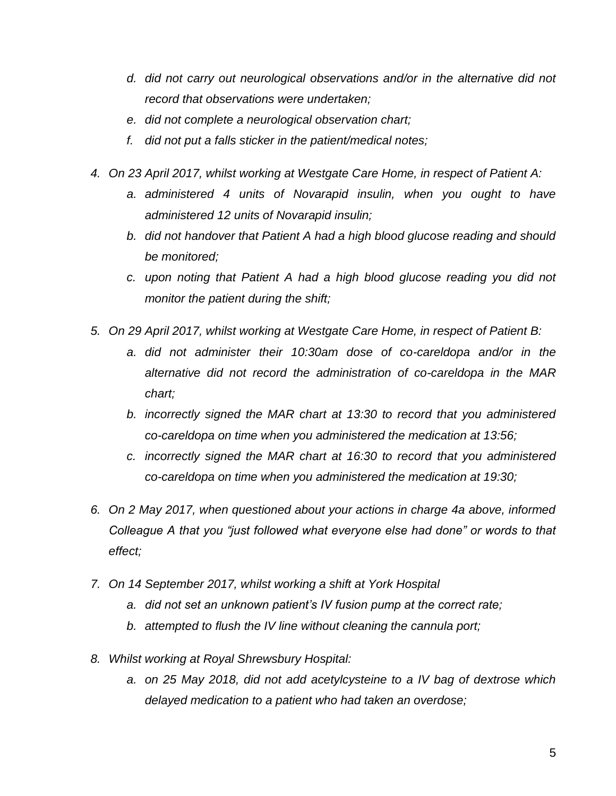- *d. did not carry out neurological observations and/or in the alternative did not record that observations were undertaken;*
- *e. did not complete a neurological observation chart;*
- *f. did not put a falls sticker in the patient/medical notes;*
- *4. On 23 April 2017, whilst working at Westgate Care Home, in respect of Patient A:*
	- *a. administered 4 units of Novarapid insulin, when you ought to have administered 12 units of Novarapid insulin;*
	- *b. did not handover that Patient A had a high blood glucose reading and should be monitored;*
	- *c. upon noting that Patient A had a high blood glucose reading you did not monitor the patient during the shift;*
- *5. On 29 April 2017, whilst working at Westgate Care Home, in respect of Patient B:*
	- *a. did not administer their 10:30am dose of co-careldopa and/or in the alternative did not record the administration of co-careldopa in the MAR chart;*
	- *b. incorrectly signed the MAR chart at 13:30 to record that you administered co-careldopa on time when you administered the medication at 13:56;*
	- *c. incorrectly signed the MAR chart at 16:30 to record that you administered co-careldopa on time when you administered the medication at 19:30;*
- *6. On 2 May 2017, when questioned about your actions in charge 4a above, informed Colleague A that you "just followed what everyone else had done" or words to that effect;*
- *7. On 14 September 2017, whilst working a shift at York Hospital*
	- *a. did not set an unknown patient's IV fusion pump at the correct rate;*
	- *b. attempted to flush the IV line without cleaning the cannula port;*
- *8. Whilst working at Royal Shrewsbury Hospital:*
	- *a. on 25 May 2018, did not add acetylcysteine to a IV bag of dextrose which delayed medication to a patient who had taken an overdose;*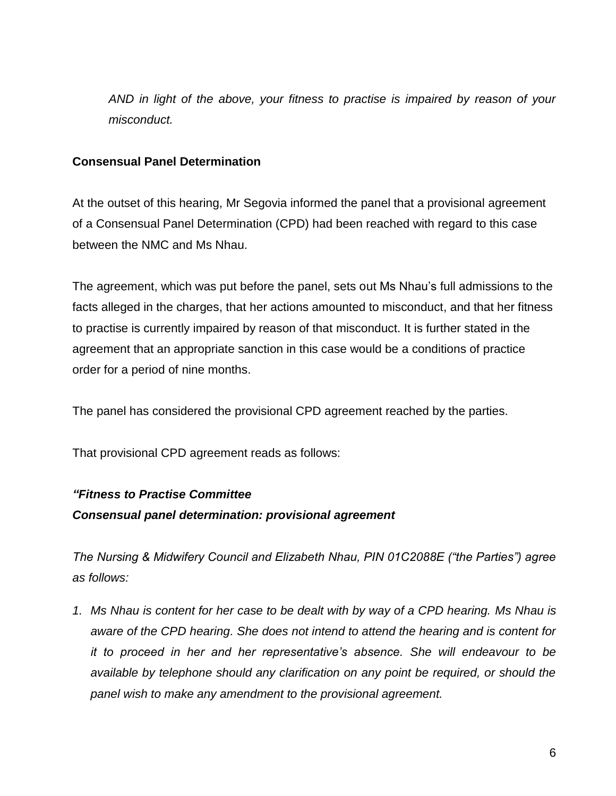*AND in light of the above, your fitness to practise is impaired by reason of your misconduct.* 

## **Consensual Panel Determination**

At the outset of this hearing, Mr Segovia informed the panel that a provisional agreement of a Consensual Panel Determination (CPD) had been reached with regard to this case between the NMC and Ms Nhau.

The agreement, which was put before the panel, sets out Ms Nhau's full admissions to the facts alleged in the charges, that her actions amounted to misconduct, and that her fitness to practise is currently impaired by reason of that misconduct. It is further stated in the agreement that an appropriate sanction in this case would be a conditions of practice order for a period of nine months.

The panel has considered the provisional CPD agreement reached by the parties.

That provisional CPD agreement reads as follows:

### *"Fitness to Practise Committee*

### *Consensual panel determination: provisional agreement*

*The Nursing & Midwifery Council and Elizabeth Nhau, PIN 01C2088E ("the Parties") agree as follows:* 

*1. Ms Nhau is content for her case to be dealt with by way of a CPD hearing. Ms Nhau is aware of the CPD hearing. She does not intend to attend the hearing and is content for it to proceed in her and her representative's absence. She will endeavour to be available by telephone should any clarification on any point be required, or should the panel wish to make any amendment to the provisional agreement.*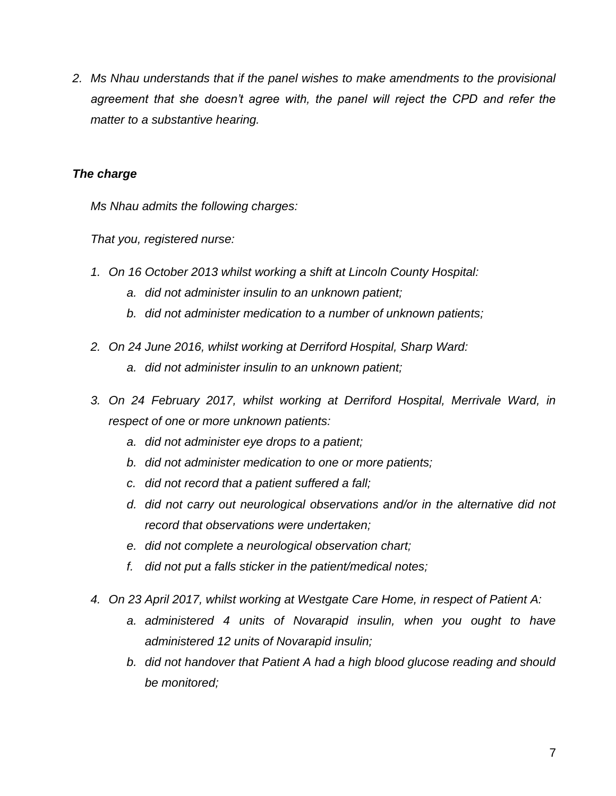*2. Ms Nhau understands that if the panel wishes to make amendments to the provisional*  agreement that she doesn't agree with, the panel will reject the CPD and refer the *matter to a substantive hearing.*

### *The charge*

*Ms Nhau admits the following charges:*

*That you, registered nurse:*

- *1. On 16 October 2013 whilst working a shift at Lincoln County Hospital:*
	- *a. did not administer insulin to an unknown patient;*
	- *b. did not administer medication to a number of unknown patients;*
- *2. On 24 June 2016, whilst working at Derriford Hospital, Sharp Ward:* 
	- *a. did not administer insulin to an unknown patient;*
- *3. On 24 February 2017, whilst working at Derriford Hospital, Merrivale Ward, in respect of one or more unknown patients:* 
	- *a. did not administer eye drops to a patient;*
	- *b. did not administer medication to one or more patients;*
	- *c. did not record that a patient suffered a fall;*
	- *d. did not carry out neurological observations and/or in the alternative did not record that observations were undertaken;*
	- *e. did not complete a neurological observation chart;*
	- *f. did not put a falls sticker in the patient/medical notes;*
- *4. On 23 April 2017, whilst working at Westgate Care Home, in respect of Patient A:*
	- *a. administered 4 units of Novarapid insulin, when you ought to have administered 12 units of Novarapid insulin;*
	- *b. did not handover that Patient A had a high blood glucose reading and should be monitored;*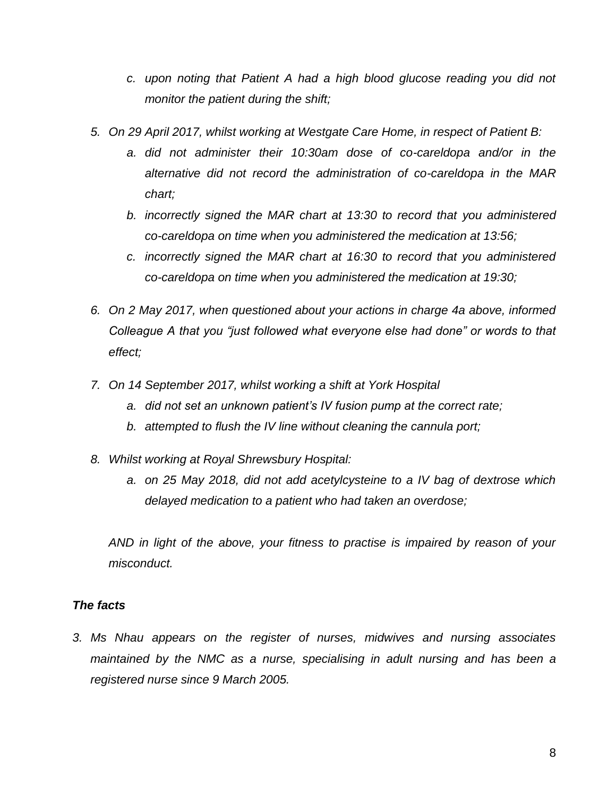- *c. upon noting that Patient A had a high blood glucose reading you did not monitor the patient during the shift;*
- *5. On 29 April 2017, whilst working at Westgate Care Home, in respect of Patient B:*
	- *a. did not administer their 10:30am dose of co-careldopa and/or in the alternative did not record the administration of co-careldopa in the MAR chart;*
	- *b. incorrectly signed the MAR chart at 13:30 to record that you administered co-careldopa on time when you administered the medication at 13:56;*
	- *c. incorrectly signed the MAR chart at 16:30 to record that you administered co-careldopa on time when you administered the medication at 19:30;*
- *6. On 2 May 2017, when questioned about your actions in charge 4a above, informed Colleague A that you "just followed what everyone else had done" or words to that effect;*
- *7. On 14 September 2017, whilst working a shift at York Hospital*
	- *a. did not set an unknown patient's IV fusion pump at the correct rate;*
	- *b. attempted to flush the IV line without cleaning the cannula port;*
- *8. Whilst working at Royal Shrewsbury Hospital:*
	- *a. on 25 May 2018, did not add acetylcysteine to a IV bag of dextrose which delayed medication to a patient who had taken an overdose;*

*AND in light of the above, your fitness to practise is impaired by reason of your misconduct.* 

### *The facts*

*3. Ms Nhau appears on the register of nurses, midwives and nursing associates*  maintained by the NMC as a nurse, specialising in adult nursing and has been a *registered nurse since 9 March 2005.*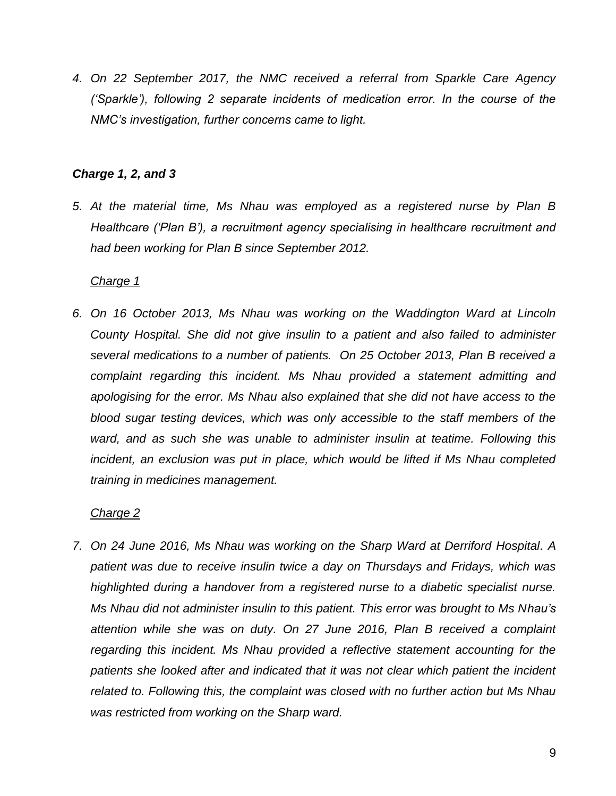*4. On 22 September 2017, the NMC received a referral from Sparkle Care Agency ('Sparkle'), following 2 separate incidents of medication error. In the course of the NMC's investigation, further concerns came to light.* 

### *Charge 1, 2, and 3*

*5. At the material time, Ms Nhau was employed as a registered nurse by Plan B Healthcare ('Plan B'), a recruitment agency specialising in healthcare recruitment and had been working for Plan B since September 2012.* 

# *Charge 1*

*6. On 16 October 2013, Ms Nhau was working on the Waddington Ward at Lincoln County Hospital. She did not give insulin to a patient and also failed to administer several medications to a number of patients. On 25 October 2013, Plan B received a complaint regarding this incident. Ms Nhau provided a statement admitting and apologising for the error. Ms Nhau also explained that she did not have access to the blood sugar testing devices, which was only accessible to the staff members of the ward, and as such she was unable to administer insulin at teatime. Following this incident, an exclusion was put in place, which would be lifted if Ms Nhau completed training in medicines management.*

# *Charge 2*

*7. On 24 June 2016, Ms Nhau was working on the Sharp Ward at Derriford Hospital. A patient was due to receive insulin twice a day on Thursdays and Fridays, which was highlighted during a handover from a registered nurse to a diabetic specialist nurse. Ms Nhau did not administer insulin to this patient. This error was brought to Ms Nhau's attention while she was on duty. On 27 June 2016, Plan B received a complaint regarding this incident. Ms Nhau provided a reflective statement accounting for the patients she looked after and indicated that it was not clear which patient the incident related to. Following this, the complaint was closed with no further action but Ms Nhau was restricted from working on the Sharp ward.*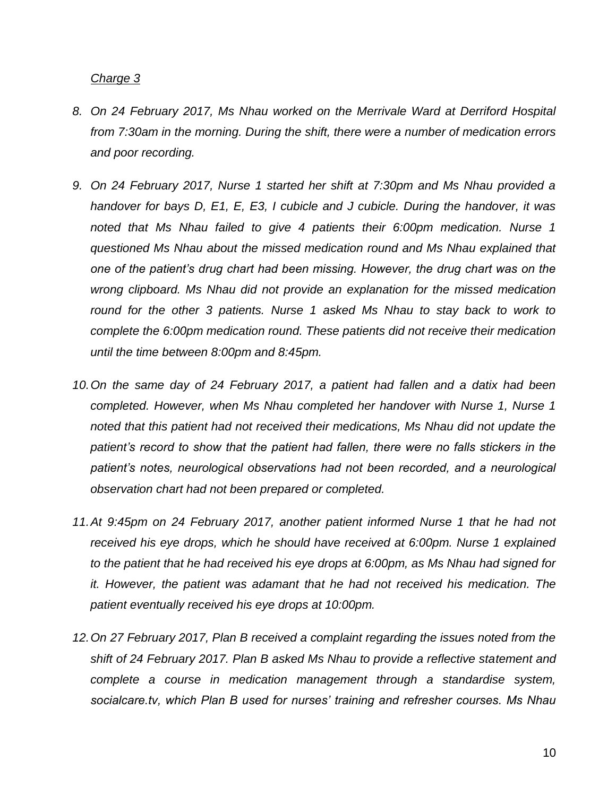### *Charge 3*

- *8. On 24 February 2017, Ms Nhau worked on the Merrivale Ward at Derriford Hospital from 7:30am in the morning. During the shift, there were a number of medication errors and poor recording.*
- *9. On 24 February 2017, Nurse 1 started her shift at 7:30pm and Ms Nhau provided a handover for bays D, E1, E, E3, I cubicle and J cubicle. During the handover, it was noted that Ms Nhau failed to give 4 patients their 6:00pm medication. Nurse 1 questioned Ms Nhau about the missed medication round and Ms Nhau explained that one of the patient's drug chart had been missing. However, the drug chart was on the wrong clipboard. Ms Nhau did not provide an explanation for the missed medication round for the other 3 patients. Nurse 1 asked Ms Nhau to stay back to work to complete the 6:00pm medication round. These patients did not receive their medication until the time between 8:00pm and 8:45pm.*
- *10.On the same day of 24 February 2017, a patient had fallen and a datix had been completed. However, when Ms Nhau completed her handover with Nurse 1, Nurse 1 noted that this patient had not received their medications, Ms Nhau did not update the patient's record to show that the patient had fallen, there were no falls stickers in the patient's notes, neurological observations had not been recorded, and a neurological observation chart had not been prepared or completed.*
- *11.At 9:45pm on 24 February 2017, another patient informed Nurse 1 that he had not received his eye drops, which he should have received at 6:00pm. Nurse 1 explained to the patient that he had received his eye drops at 6:00pm, as Ms Nhau had signed for it. However, the patient was adamant that he had not received his medication. The patient eventually received his eye drops at 10:00pm.*
- *12.On 27 February 2017, Plan B received a complaint regarding the issues noted from the shift of 24 February 2017. Plan B asked Ms Nhau to provide a reflective statement and complete a course in medication management through a standardise system, socialcare.tv, which Plan B used for nurses' training and refresher courses. Ms Nhau*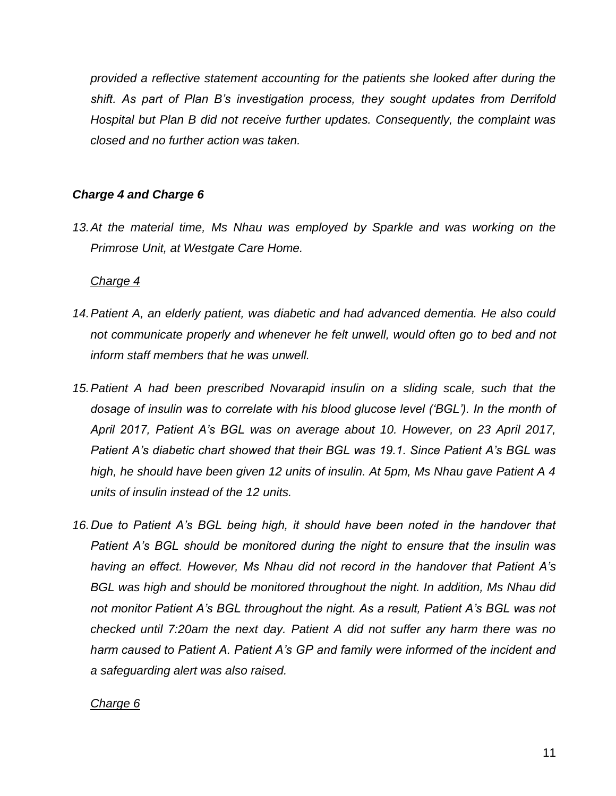*provided a reflective statement accounting for the patients she looked after during the shift. As part of Plan B's investigation process, they sought updates from Derrifold Hospital but Plan B did not receive further updates. Consequently, the complaint was closed and no further action was taken.*

## *Charge 4 and Charge 6*

*13.At the material time, Ms Nhau was employed by Sparkle and was working on the Primrose Unit, at Westgate Care Home.* 

### *Charge 4*

- *14.Patient A, an elderly patient, was diabetic and had advanced dementia. He also could not communicate properly and whenever he felt unwell, would often go to bed and not inform staff members that he was unwell.*
- *15.Patient A had been prescribed Novarapid insulin on a sliding scale, such that the dosage of insulin was to correlate with his blood glucose level ('BGL'). In the month of April 2017, Patient A's BGL was on average about 10. However, on 23 April 2017, Patient A's diabetic chart showed that their BGL was 19.1. Since Patient A's BGL was high, he should have been given 12 units of insulin. At 5pm, Ms Nhau gave Patient A 4 units of insulin instead of the 12 units.*
- 16. Due to Patient A's BGL being high, it should have been noted in the handover that *Patient A's BGL should be monitored during the night to ensure that the insulin was having an effect. However, Ms Nhau did not record in the handover that Patient A's BGL was high and should be monitored throughout the night. In addition, Ms Nhau did*  not monitor Patient A's BGL throughout the night. As a result, Patient A's BGL was not *checked until 7:20am the next day. Patient A did not suffer any harm there was no harm caused to Patient A. Patient A's GP and family were informed of the incident and a safeguarding alert was also raised.*

#### *Charge 6*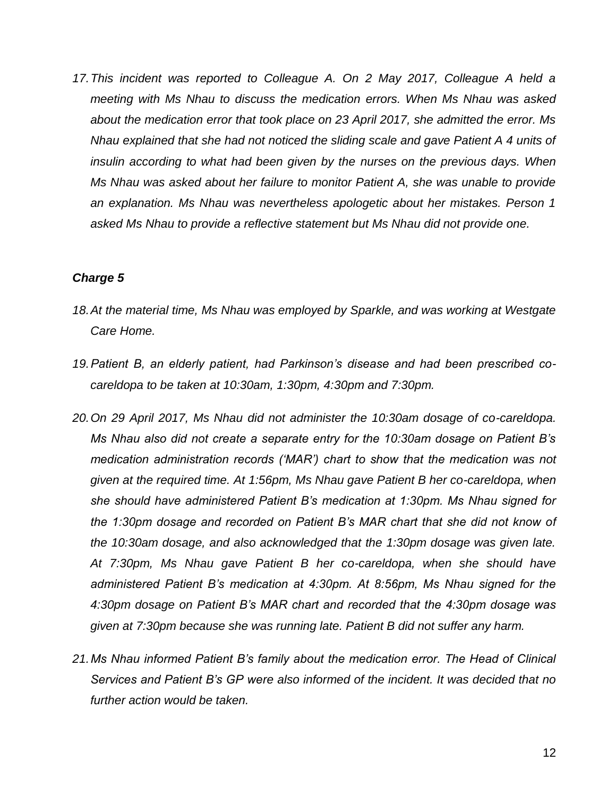17. This incident was reported to Colleague A. On 2 May 2017, Colleague A held a *meeting with Ms Nhau to discuss the medication errors. When Ms Nhau was asked about the medication error that took place on 23 April 2017, she admitted the error. Ms Nhau explained that she had not noticed the sliding scale and gave Patient A 4 units of insulin according to what had been given by the nurses on the previous days. When Ms Nhau was asked about her failure to monitor Patient A, she was unable to provide an explanation. Ms Nhau was nevertheless apologetic about her mistakes. Person 1 asked Ms Nhau to provide a reflective statement but Ms Nhau did not provide one.* 

### *Charge 5*

- *18.At the material time, Ms Nhau was employed by Sparkle, and was working at Westgate Care Home.*
- *19.Patient B, an elderly patient, had Parkinson's disease and had been prescribed cocareldopa to be taken at 10:30am, 1:30pm, 4:30pm and 7:30pm.*
- *20.On 29 April 2017, Ms Nhau did not administer the 10:30am dosage of co-careldopa. Ms Nhau also did not create a separate entry for the 10:30am dosage on Patient B's medication administration records ('MAR') chart to show that the medication was not given at the required time. At 1:56pm, Ms Nhau gave Patient B her co-careldopa, when she should have administered Patient B's medication at 1:30pm. Ms Nhau signed for the 1:30pm dosage and recorded on Patient B's MAR chart that she did not know of the 10:30am dosage, and also acknowledged that the 1:30pm dosage was given late. At 7:30pm, Ms Nhau gave Patient B her co-careldopa, when she should have administered Patient B's medication at 4:30pm. At 8:56pm, Ms Nhau signed for the 4:30pm dosage on Patient B's MAR chart and recorded that the 4:30pm dosage was given at 7:30pm because she was running late. Patient B did not suffer any harm.*
- *21.Ms Nhau informed Patient B's family about the medication error. The Head of Clinical Services and Patient B's GP were also informed of the incident. It was decided that no further action would be taken.*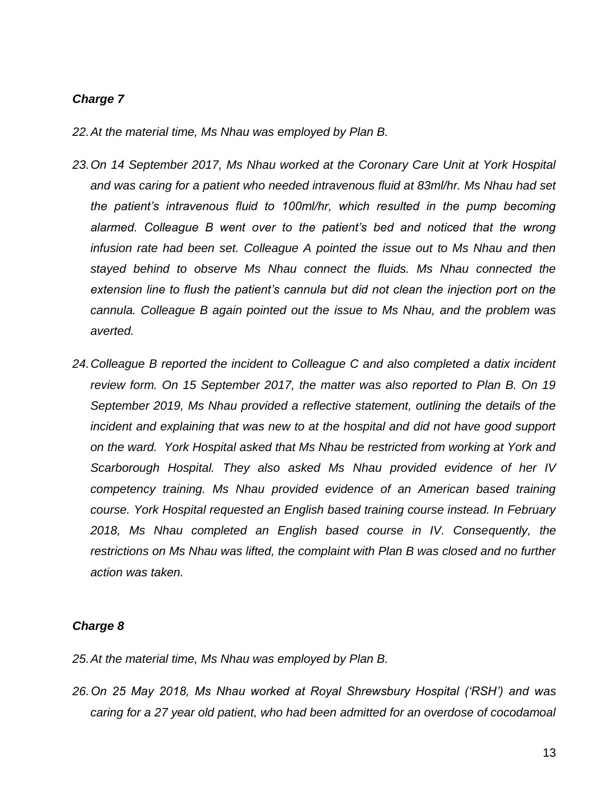### *Charge 7*

- *22.At the material time, Ms Nhau was employed by Plan B.*
- *23.On 14 September 2017, Ms Nhau worked at the Coronary Care Unit at York Hospital and was caring for a patient who needed intravenous fluid at 83ml/hr. Ms Nhau had set the patient's intravenous fluid to 100ml/hr, which resulted in the pump becoming*  alarmed. Colleague B went over to the patient's bed and noticed that the wrong *infusion rate had been set. Colleague A pointed the issue out to Ms Nhau and then stayed behind to observe Ms Nhau connect the fluids. Ms Nhau connected the extension line to flush the patient's cannula but did not clean the injection port on the cannula. Colleague B again pointed out the issue to Ms Nhau, and the problem was averted.*
- *24.Colleague B reported the incident to Colleague C and also completed a datix incident review form. On 15 September 2017, the matter was also reported to Plan B. On 19 September 2019, Ms Nhau provided a reflective statement, outlining the details of the incident and explaining that was new to at the hospital and did not have good support on the ward. York Hospital asked that Ms Nhau be restricted from working at York and Scarborough Hospital. They also asked Ms Nhau provided evidence of her IV competency training. Ms Nhau provided evidence of an American based training course. York Hospital requested an English based training course instead. In February 2018, Ms Nhau completed an English based course in IV. Consequently, the restrictions on Ms Nhau was lifted, the complaint with Plan B was closed and no further action was taken.*

#### *Charge 8*

*25.At the material time, Ms Nhau was employed by Plan B.*

*26.On 25 May 2018, Ms Nhau worked at Royal Shrewsbury Hospital ('RSH') and was caring for a 27 year old patient, who had been admitted for an overdose of cocodamoal*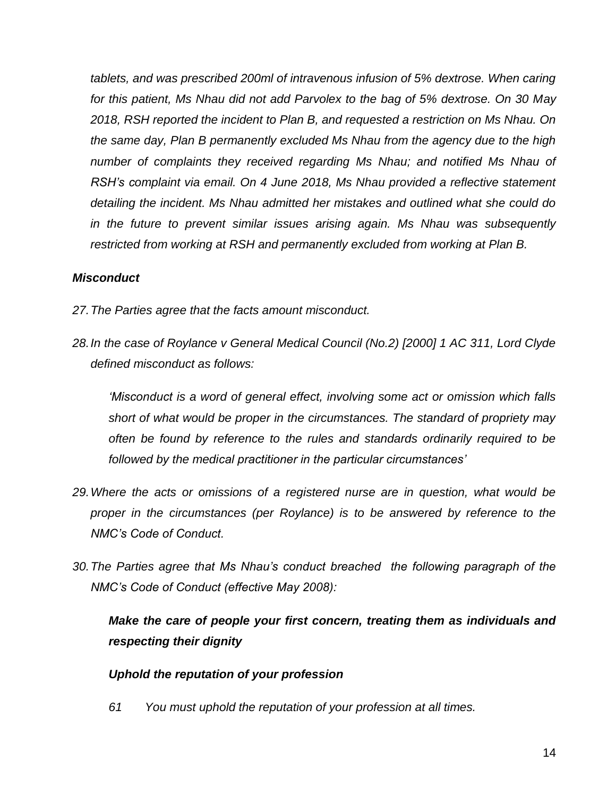*tablets, and was prescribed 200ml of intravenous infusion of 5% dextrose. When caring for this patient, Ms Nhau did not add Parvolex to the bag of 5% dextrose. On 30 May 2018, RSH reported the incident to Plan B, and requested a restriction on Ms Nhau. On the same day, Plan B permanently excluded Ms Nhau from the agency due to the high number of complaints they received regarding Ms Nhau; and notified Ms Nhau of RSH's complaint via email. On 4 June 2018, Ms Nhau provided a reflective statement detailing the incident. Ms Nhau admitted her mistakes and outlined what she could do in the future to prevent similar issues arising again. Ms Nhau was subsequently restricted from working at RSH and permanently excluded from working at Plan B.*

## *Misconduct*

- *27.The Parties agree that the facts amount misconduct.*
- *28.In the case of Roylance v General Medical Council (No.2) [2000] 1 AC 311, Lord Clyde defined misconduct as follows:*

*'Misconduct is a word of general effect, involving some act or omission which falls short of what would be proper in the circumstances. The standard of propriety may often be found by reference to the rules and standards ordinarily required to be followed by the medical practitioner in the particular circumstances'*

- *29.Where the acts or omissions of a registered nurse are in question, what would be proper in the circumstances (per Roylance) is to be answered by reference to the NMC's Code of Conduct.*
- *30.The Parties agree that Ms Nhau's conduct breached the following paragraph of the NMC's Code of Conduct (effective May 2008):*

# *Make the care of people your first concern, treating them as individuals and respecting their dignity*

### *Uphold the reputation of your profession*

*61 You must uphold the reputation of your profession at all times.*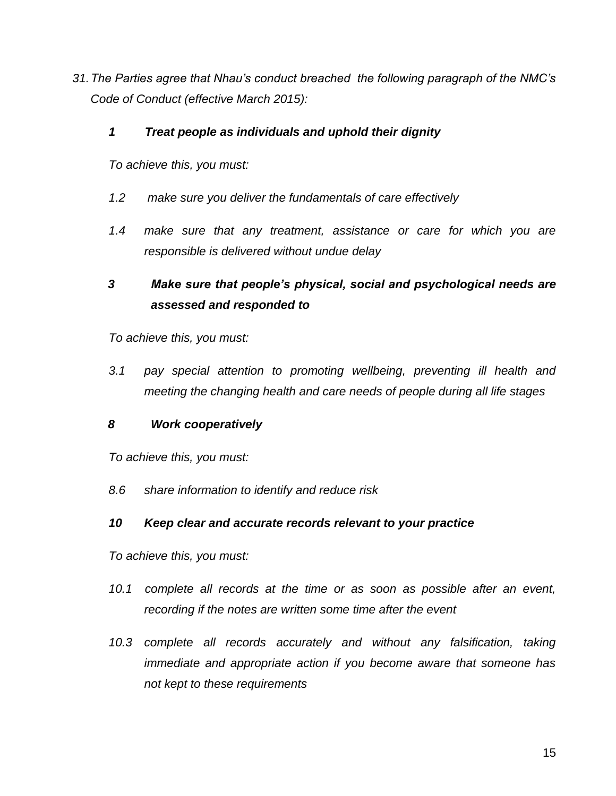*31.The Parties agree that Nhau's conduct breached the following paragraph of the NMC's Code of Conduct (effective March 2015):* 

### *1 Treat people as individuals and uphold their dignity*

*To achieve this, you must:*

- *1.2 make sure you deliver the fundamentals of care effectively*
- *1.4 make sure that any treatment, assistance or care for which you are responsible is delivered without undue delay*

# *3 Make sure that people's physical, social and psychological needs are assessed and responded to*

*To achieve this, you must:*

*3.1 pay special attention to promoting wellbeing, preventing ill health and meeting the changing health and care needs of people during all life stages*

### *8 Work cooperatively*

*To achieve this, you must:*

*8.6 share information to identify and reduce risk*

# *10 Keep clear and accurate records relevant to your practice*

*To achieve this, you must:*

- *10.1 complete all records at the time or as soon as possible after an event, recording if the notes are written some time after the event*
- *10.3 complete all records accurately and without any falsification, taking immediate and appropriate action if you become aware that someone has not kept to these requirements*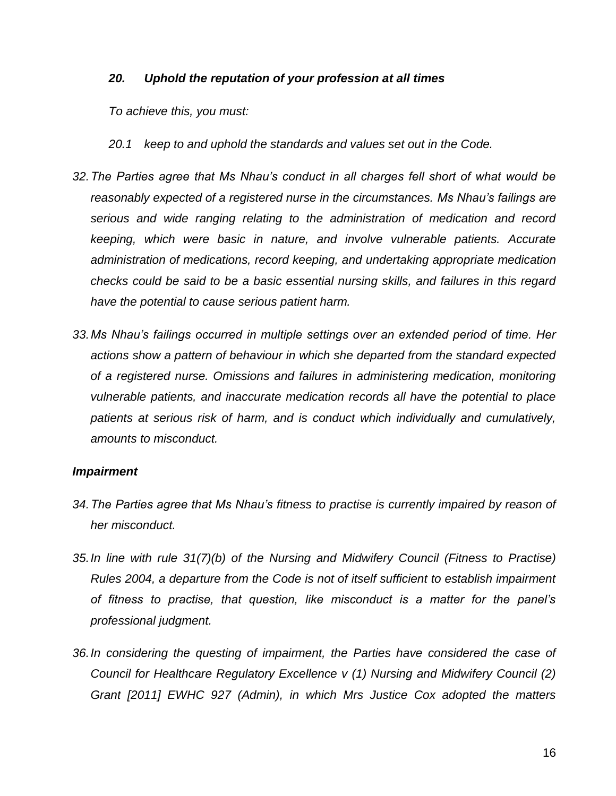### *20. Uphold the reputation of your profession at all times*

*To achieve this, you must:*

*20.1 keep to and uphold the standards and values set out in the Code.*

- *32.The Parties agree that Ms Nhau's conduct in all charges fell short of what would be reasonably expected of a registered nurse in the circumstances. Ms Nhau's failings are serious and wide ranging relating to the administration of medication and record keeping, which were basic in nature, and involve vulnerable patients. Accurate administration of medications, record keeping, and undertaking appropriate medication checks could be said to be a basic essential nursing skills, and failures in this regard have the potential to cause serious patient harm.*
- *33.Ms Nhau's failings occurred in multiple settings over an extended period of time. Her actions show a pattern of behaviour in which she departed from the standard expected of a registered nurse. Omissions and failures in administering medication, monitoring vulnerable patients, and inaccurate medication records all have the potential to place*  patients at serious risk of harm, and is conduct which individually and cumulatively, *amounts to misconduct.*

#### *Impairment*

- *34.The Parties agree that Ms Nhau's fitness to practise is currently impaired by reason of her misconduct.*
- *35.In line with rule 31(7)(b) of the Nursing and Midwifery Council (Fitness to Practise) Rules 2004, a departure from the Code is not of itself sufficient to establish impairment of fitness to practise, that question, like misconduct is a matter for the panel's professional judgment.*
- *36.In considering the questing of impairment, the Parties have considered the case of Council for Healthcare Regulatory Excellence v (1) Nursing and Midwifery Council (2) Grant [2011] EWHC 927 (Admin), in which Mrs Justice Cox adopted the matters*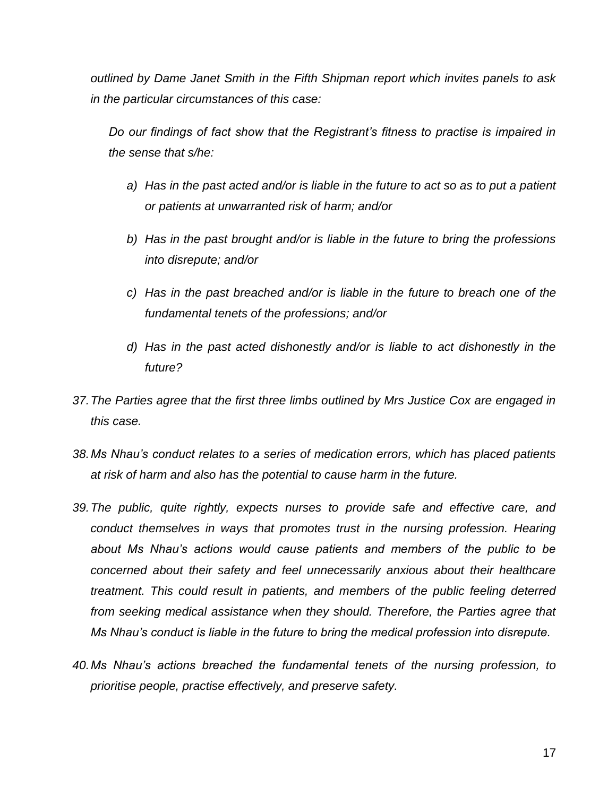*outlined by Dame Janet Smith in the Fifth Shipman report which invites panels to ask in the particular circumstances of this case:*

*Do our findings of fact show that the Registrant's fitness to practise is impaired in the sense that s/he:*

- *a) Has in the past acted and/or is liable in the future to act so as to put a patient or patients at unwarranted risk of harm; and/or*
- *b) Has in the past brought and/or is liable in the future to bring the professions into disrepute; and/or*
- *c) Has in the past breached and/or is liable in the future to breach one of the fundamental tenets of the professions; and/or*
- *d) Has in the past acted dishonestly and/or is liable to act dishonestly in the future?*
- *37.The Parties agree that the first three limbs outlined by Mrs Justice Cox are engaged in this case.*
- *38.Ms Nhau's conduct relates to a series of medication errors, which has placed patients at risk of harm and also has the potential to cause harm in the future.*
- *39.The public, quite rightly, expects nurses to provide safe and effective care, and conduct themselves in ways that promotes trust in the nursing profession. Hearing about Ms Nhau's actions would cause patients and members of the public to be concerned about their safety and feel unnecessarily anxious about their healthcare treatment. This could result in patients, and members of the public feeling deterred from seeking medical assistance when they should. Therefore, the Parties agree that Ms Nhau's conduct is liable in the future to bring the medical profession into disrepute.*
- *40.Ms Nhau's actions breached the fundamental tenets of the nursing profession, to prioritise people, practise effectively, and preserve safety.*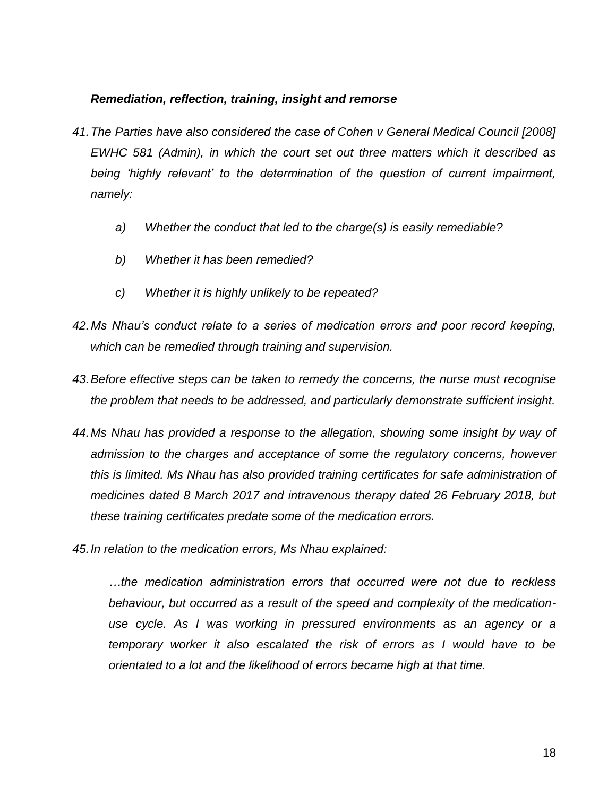### *Remediation, reflection, training, insight and remorse*

- *41.The Parties have also considered the case of Cohen v General Medical Council [2008] EWHC 581 (Admin), in which the court set out three matters which it described as being 'highly relevant' to the determination of the question of current impairment, namely:*
	- *a) Whether the conduct that led to the charge(s) is easily remediable?*
	- *b) Whether it has been remedied?*
	- *c) Whether it is highly unlikely to be repeated?*
- *42.Ms Nhau's conduct relate to a series of medication errors and poor record keeping, which can be remedied through training and supervision.*
- *43.Before effective steps can be taken to remedy the concerns, the nurse must recognise the problem that needs to be addressed, and particularly demonstrate sufficient insight.*
- *44.Ms Nhau has provided a response to the allegation, showing some insight by way of admission to the charges and acceptance of some the regulatory concerns, however this is limited. Ms Nhau has also provided training certificates for safe administration of medicines dated 8 March 2017 and intravenous therapy dated 26 February 2018, but these training certificates predate some of the medication errors.*
- *45.In relation to the medication errors, Ms Nhau explained:*

*…the medication administration errors that occurred were not due to reckless behaviour, but occurred as a result of the speed and complexity of the medicationuse cycle. As I was working in pressured environments as an agency or a temporary worker it also escalated the risk of errors as I would have to be orientated to a lot and the likelihood of errors became high at that time.*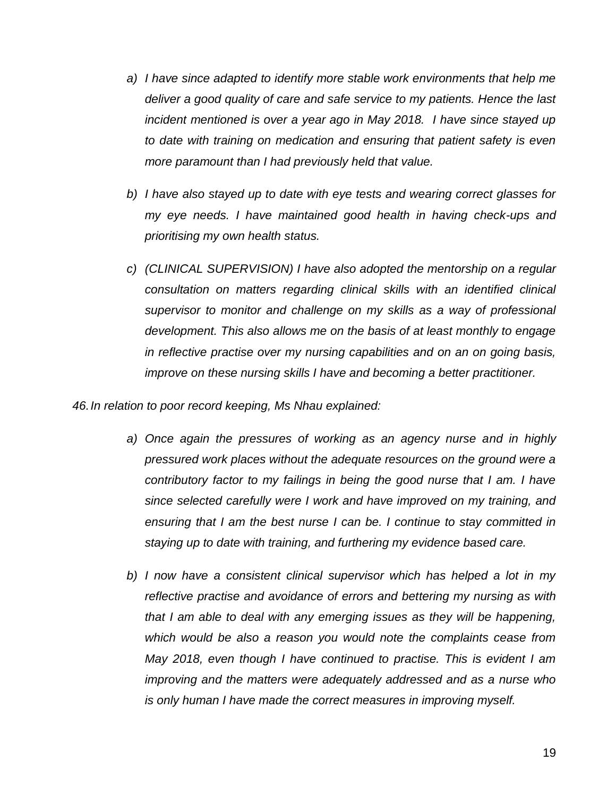- *a) I have since adapted to identify more stable work environments that help me deliver a good quality of care and safe service to my patients. Hence the last incident mentioned is over a year ago in May 2018. I have since stayed up to date with training on medication and ensuring that patient safety is even more paramount than I had previously held that value.*
- *b) I have also stayed up to date with eye tests and wearing correct glasses for my eye needs. I have maintained good health in having check-ups and prioritising my own health status.*
- *c) (CLINICAL SUPERVISION) I have also adopted the mentorship on a regular consultation on matters regarding clinical skills with an identified clinical supervisor to monitor and challenge on my skills as a way of professional development. This also allows me on the basis of at least monthly to engage in reflective practise over my nursing capabilities and on an on going basis, improve on these nursing skills I have and becoming a better practitioner.*

*46.In relation to poor record keeping, Ms Nhau explained:*

- *a) Once again the pressures of working as an agency nurse and in highly pressured work places without the adequate resources on the ground were a contributory factor to my failings in being the good nurse that I am. I have since selected carefully were I work and have improved on my training, and ensuring that I am the best nurse I can be. I continue to stay committed in staying up to date with training, and furthering my evidence based care.*
- *b) I now have a consistent clinical supervisor which has helped a lot in my reflective practise and avoidance of errors and bettering my nursing as with that I am able to deal with any emerging issues as they will be happening, which would be also a reason you would note the complaints cease from May 2018, even though I have continued to practise. This is evident I am improving and the matters were adequately addressed and as a nurse who is only human I have made the correct measures in improving myself.*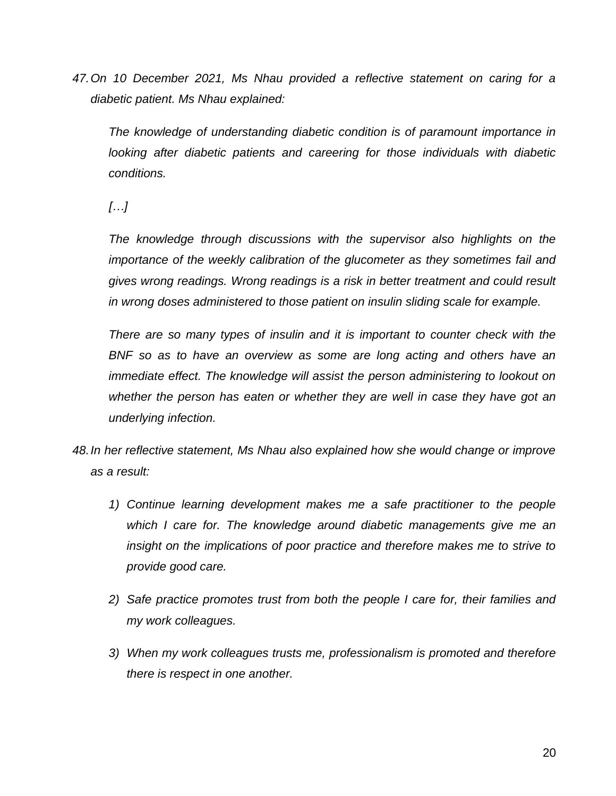*47.On 10 December 2021, Ms Nhau provided a reflective statement on caring for a diabetic patient. Ms Nhau explained:*

*The knowledge of understanding diabetic condition is of paramount importance in looking after diabetic patients and careering for those individuals with diabetic conditions.* 

*[…]*

*The knowledge through discussions with the supervisor also highlights on the importance of the weekly calibration of the glucometer as they sometimes fail and gives wrong readings. Wrong readings is a risk in better treatment and could result in wrong doses administered to those patient on insulin sliding scale for example.*

*There are so many types of insulin and it is important to counter check with the BNF* so as to have an overview as some are long acting and others have an *immediate effect. The knowledge will assist the person administering to lookout on whether the person has eaten or whether they are well in case they have got an underlying infection.*

- *48.In her reflective statement, Ms Nhau also explained how she would change or improve as a result:*
	- *1) Continue learning development makes me a safe practitioner to the people which I care for. The knowledge around diabetic managements give me an insight on the implications of poor practice and therefore makes me to strive to provide good care.*
	- *2) Safe practice promotes trust from both the people I care for, their families and my work colleagues.*
	- *3) When my work colleagues trusts me, professionalism is promoted and therefore there is respect in one another.*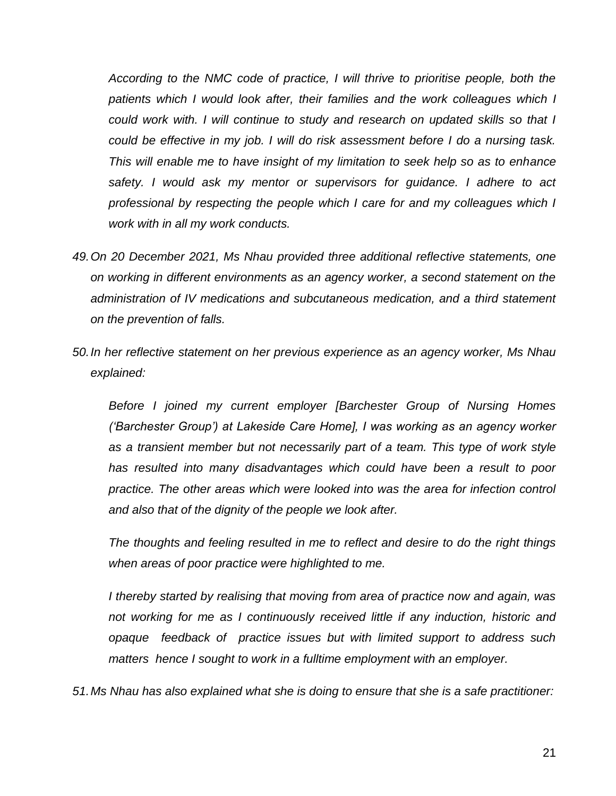*According to the NMC code of practice, I will thrive to prioritise people, both the*  patients which I would look after, their families and the work colleagues which I *could work with. I will continue to study and research on updated skills so that I could be effective in my job. I will do risk assessment before I do a nursing task. This will enable me to have insight of my limitation to seek help so as to enhance safety. I would ask my mentor or supervisors for guidance. I adhere to act professional by respecting the people which I care for and my colleagues which I work with in all my work conducts.*

- *49.On 20 December 2021, Ms Nhau provided three additional reflective statements, one on working in different environments as an agency worker, a second statement on the administration of IV medications and subcutaneous medication, and a third statement on the prevention of falls.*
- *50.In her reflective statement on her previous experience as an agency worker, Ms Nhau explained:*

*Before I joined my current employer [Barchester Group of Nursing Homes ('Barchester Group') at Lakeside Care Home], I was working as an agency worker as a transient member but not necessarily part of a team. This type of work style has resulted into many disadvantages which could have been a result to poor practice. The other areas which were looked into was the area for infection control and also that of the dignity of the people we look after.* 

*The thoughts and feeling resulted in me to reflect and desire to do the right things when areas of poor practice were highlighted to me.* 

*I thereby started by realising that moving from area of practice now and again, was not working for me as I continuously received little if any induction, historic and opaque feedback of practice issues but with limited support to address such matters hence I sought to work in a fulltime employment with an employer.*

*51.Ms Nhau has also explained what she is doing to ensure that she is a safe practitioner:*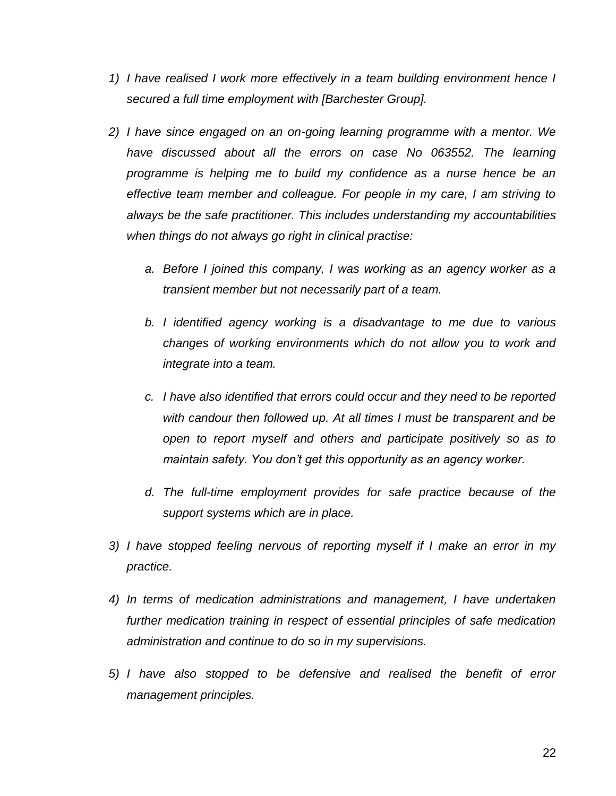- *1) I have realised I work more effectively in a team building environment hence I secured a full time employment with [Barchester Group].*
- *2) I have since engaged on an on-going learning programme with a mentor. We have discussed about all the errors on case No 063552. The learning programme is helping me to build my confidence as a nurse hence be an effective team member and colleague. For people in my care, I am striving to always be the safe practitioner. This includes understanding my accountabilities when things do not always go right in clinical practise:*
	- *a. Before I joined this company, I was working as an agency worker as a transient member but not necessarily part of a team.*
	- *b. I identified agency working is a disadvantage to me due to various changes of working environments which do not allow you to work and integrate into a team.*
	- *c. I have also identified that errors could occur and they need to be reported with candour then followed up. At all times I must be transparent and be open to report myself and others and participate positively so as to maintain safety. You don't get this opportunity as an agency worker.*
	- *d. The full-time employment provides for safe practice because of the support systems which are in place.*
- *3) I have stopped feeling nervous of reporting myself if I make an error in my practice.*
- *4) In terms of medication administrations and management, I have undertaken further medication training in respect of essential principles of safe medication administration and continue to do so in my supervisions.*
- *5) I have also stopped to be defensive and realised the benefit of error management principles.*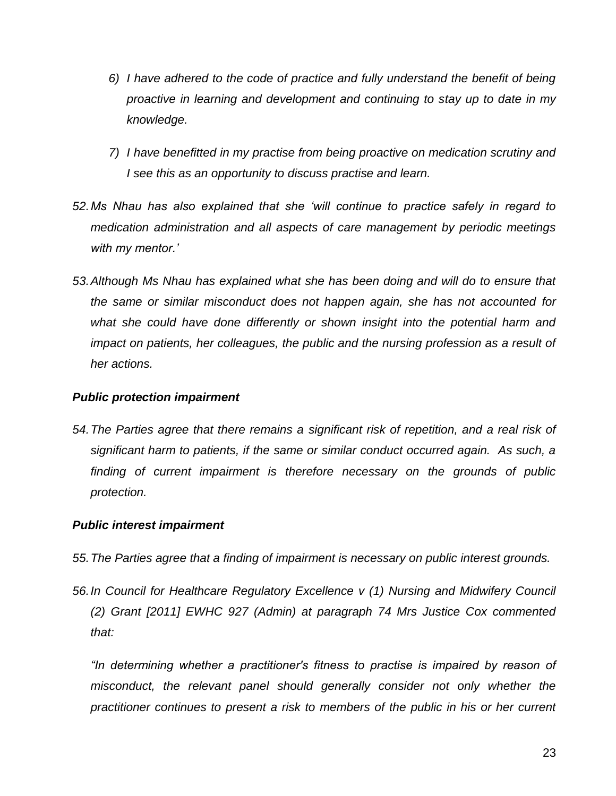- *6) I have adhered to the code of practice and fully understand the benefit of being proactive in learning and development and continuing to stay up to date in my knowledge.*
- *7) I have benefitted in my practise from being proactive on medication scrutiny and I see this as an opportunity to discuss practise and learn.*
- *52.Ms Nhau has also explained that she 'will continue to practice safely in regard to medication administration and all aspects of care management by periodic meetings with my mentor.'*
- *53.Although Ms Nhau has explained what she has been doing and will do to ensure that the same or similar misconduct does not happen again, she has not accounted for what she could have done differently or shown insight into the potential harm and impact on patients, her colleagues, the public and the nursing profession as a result of her actions.*

### *Public protection impairment*

*54.The Parties agree that there remains a significant risk of repetition, and a real risk of significant harm to patients, if the same or similar conduct occurred again. As such, a finding of current impairment is therefore necessary on the grounds of public protection.* 

### *Public interest impairment*

- *55.The Parties agree that a finding of impairment is necessary on public interest grounds.*
- *56.In Council for Healthcare Regulatory Excellence v (1) Nursing and Midwifery Council (2) Grant [2011] EWHC 927 (Admin) at paragraph 74 Mrs Justice Cox commented that:*

*"In determining whether a practitioner's fitness to practise is impaired by reason of*  misconduct, the relevant panel should generally consider not only whether the *practitioner continues to present a risk to members of the public in his or her current*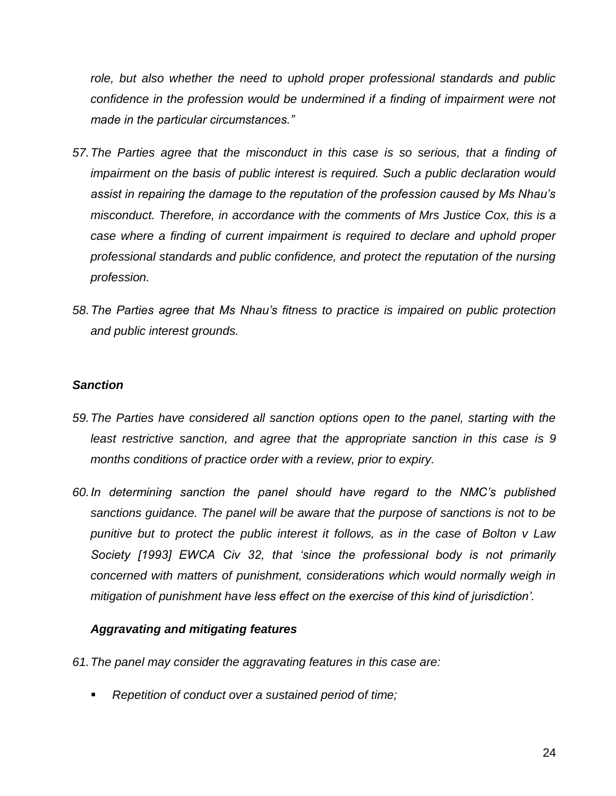*role, but also whether the need to uphold proper professional standards and public confidence in the profession would be undermined if a finding of impairment were not made in the particular circumstances."*

- *57.The Parties agree that the misconduct in this case is so serious, that a finding of impairment on the basis of public interest is required. Such a public declaration would assist in repairing the damage to the reputation of the profession caused by Ms Nhau's misconduct. Therefore, in accordance with the comments of Mrs Justice Cox, this is a case where a finding of current impairment is required to declare and uphold proper professional standards and public confidence, and protect the reputation of the nursing profession.*
- *58.The Parties agree that Ms Nhau's fitness to practice is impaired on public protection and public interest grounds.*

## *Sanction*

- *59.The Parties have considered all sanction options open to the panel, starting with the least restrictive sanction, and agree that the appropriate sanction in this case is 9 months conditions of practice order with a review, prior to expiry.*
- *60.In determining sanction the panel should have regard to the NMC's published sanctions guidance. The panel will be aware that the purpose of sanctions is not to be punitive but to protect the public interest it follows, as in the case of Bolton v Law Society [1993] EWCA Civ 32, that 'since the professional body is not primarily concerned with matters of punishment, considerations which would normally weigh in mitigation of punishment have less effect on the exercise of this kind of jurisdiction'.*

# *Aggravating and mitigating features*

- *61.The panel may consider the aggravating features in this case are:*
	- *Repetition of conduct over a sustained period of time;*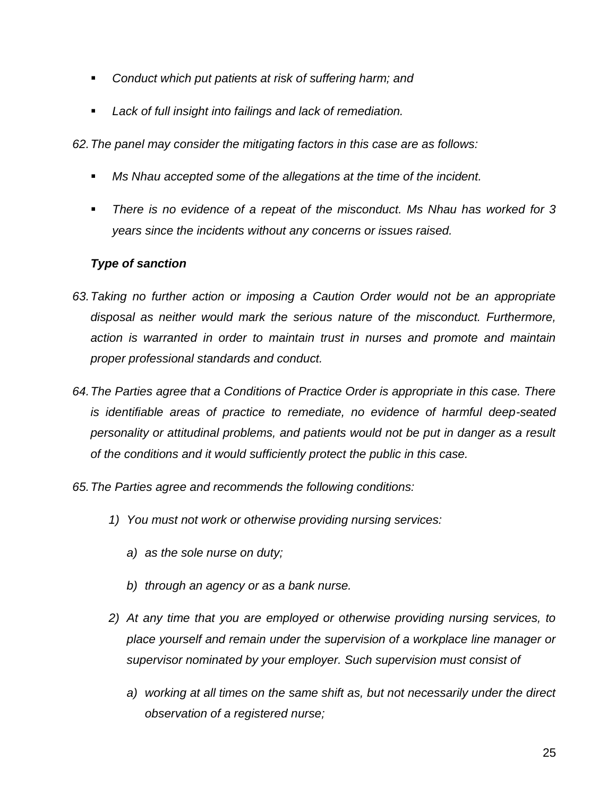- *Conduct which put patients at risk of suffering harm; and*
- *Lack of full insight into failings and lack of remediation.*

*62.The panel may consider the mitigating factors in this case are as follows:*

- *Ms Nhau accepted some of the allegations at the time of the incident.*
- *There is no evidence of a repeat of the misconduct. Ms Nhau has worked for 3 years since the incidents without any concerns or issues raised.*

# *Type of sanction*

- *63.Taking no further action or imposing a Caution Order would not be an appropriate disposal as neither would mark the serious nature of the misconduct. Furthermore, action is warranted in order to maintain trust in nurses and promote and maintain proper professional standards and conduct.*
- *64.The Parties agree that a Conditions of Practice Order is appropriate in this case. There is identifiable areas of practice to remediate, no evidence of harmful deep-seated personality or attitudinal problems, and patients would not be put in danger as a result of the conditions and it would sufficiently protect the public in this case.*
- *65.The Parties agree and recommends the following conditions:*
	- *1) You must not work or otherwise providing nursing services:* 
		- *a) as the sole nurse on duty;*
		- *b) through an agency or as a bank nurse.*
	- *2) At any time that you are employed or otherwise providing nursing services, to place yourself and remain under the supervision of a workplace line manager or supervisor nominated by your employer. Such supervision must consist of*
		- *a) working at all times on the same shift as, but not necessarily under the direct observation of a registered nurse;*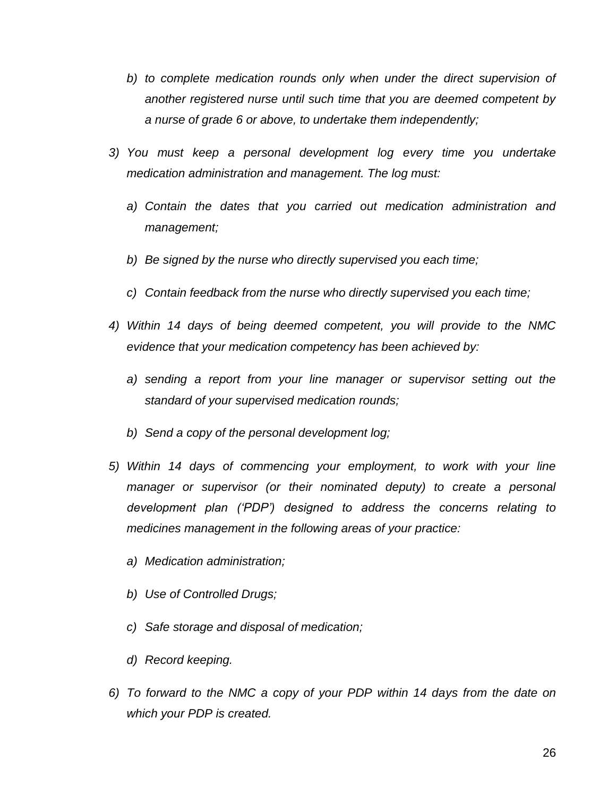- *b) to complete medication rounds only when under the direct supervision of another registered nurse until such time that you are deemed competent by a nurse of grade 6 or above, to undertake them independently;*
- *3) You must keep a personal development log every time you undertake medication administration and management. The log must:*
	- *a) Contain the dates that you carried out medication administration and management;*
	- *b) Be signed by the nurse who directly supervised you each time;*
	- *c) Contain feedback from the nurse who directly supervised you each time;*
- *4) Within 14 days of being deemed competent, you will provide to the NMC evidence that your medication competency has been achieved by:*
	- *a) sending a report from your line manager or supervisor setting out the standard of your supervised medication rounds;*
	- *b) Send a copy of the personal development log;*
- *5) Within 14 days of commencing your employment, to work with your line manager or supervisor (or their nominated deputy) to create a personal development plan ('PDP') designed to address the concerns relating to medicines management in the following areas of your practice:*
	- *a) Medication administration;*
	- *b) Use of Controlled Drugs;*
	- *c) Safe storage and disposal of medication;*
	- *d) Record keeping.*
- *6) To forward to the NMC a copy of your PDP within 14 days from the date on which your PDP is created.*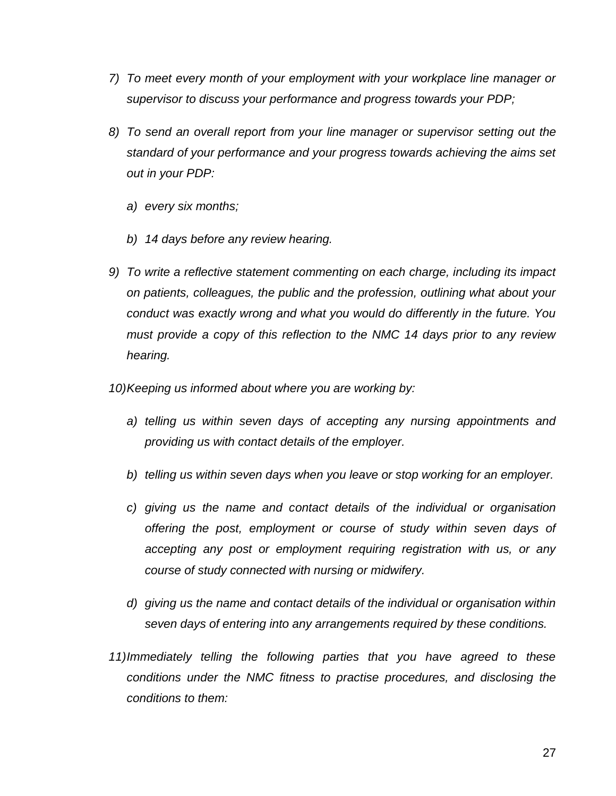- *7) To meet every month of your employment with your workplace line manager or supervisor to discuss your performance and progress towards your PDP;*
- *8) To send an overall report from your line manager or supervisor setting out the standard of your performance and your progress towards achieving the aims set out in your PDP:*
	- *a) every six months;*
	- *b) 14 days before any review hearing.*
- *9) To write a reflective statement commenting on each charge, including its impact on patients, colleagues, the public and the profession, outlining what about your conduct was exactly wrong and what you would do differently in the future. You must provide a copy of this reflection to the NMC 14 days prior to any review hearing.*
- *10)Keeping us informed about where you are working by:*
	- *a) telling us within seven days of accepting any nursing appointments and providing us with contact details of the employer.*
	- *b) telling us within seven days when you leave or stop working for an employer.*
	- *c) giving us the name and contact details of the individual or organisation offering the post, employment or course of study within seven days of accepting any post or employment requiring registration with us, or any course of study connected with nursing or midwifery.*
	- *d) giving us the name and contact details of the individual or organisation within seven days of entering into any arrangements required by these conditions.*
- *11)Immediately telling the following parties that you have agreed to these conditions under the NMC fitness to practise procedures, and disclosing the conditions to them:*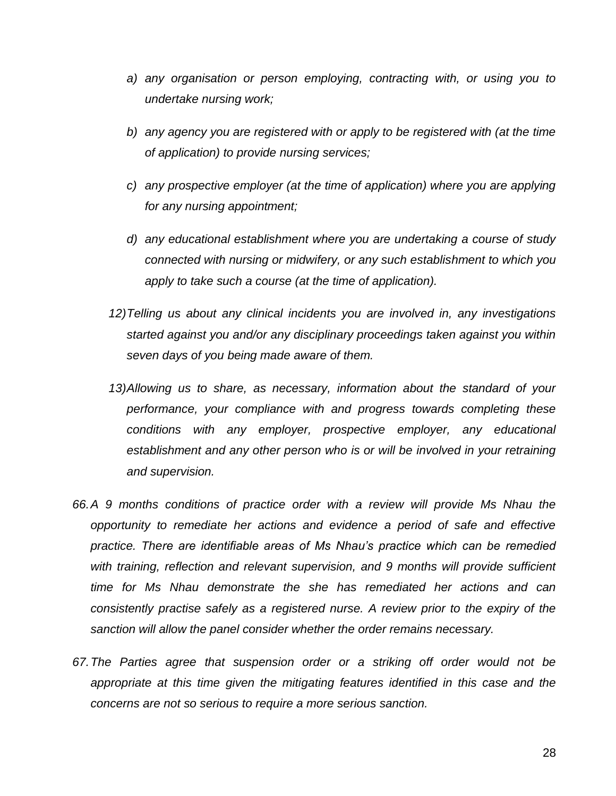- *a) any organisation or person employing, contracting with, or using you to undertake nursing work;*
- *b) any agency you are registered with or apply to be registered with (at the time of application) to provide nursing services;*
- *c) any prospective employer (at the time of application) where you are applying for any nursing appointment;*
- *d) any educational establishment where you are undertaking a course of study connected with nursing or midwifery, or any such establishment to which you apply to take such a course (at the time of application).*
- *12)Telling us about any clinical incidents you are involved in, any investigations started against you and/or any disciplinary proceedings taken against you within seven days of you being made aware of them.*
- *13)Allowing us to share, as necessary, information about the standard of your performance, your compliance with and progress towards completing these conditions with any employer, prospective employer, any educational establishment and any other person who is or will be involved in your retraining and supervision.*
- *66.A 9 months conditions of practice order with a review will provide Ms Nhau the opportunity to remediate her actions and evidence a period of safe and effective practice. There are identifiable areas of Ms Nhau's practice which can be remedied with training, reflection and relevant supervision, and 9 months will provide sufficient time for Ms Nhau demonstrate the she has remediated her actions and can consistently practise safely as a registered nurse. A review prior to the expiry of the sanction will allow the panel consider whether the order remains necessary.*
- *67.The Parties agree that suspension order or a striking off order would not be appropriate at this time given the mitigating features identified in this case and the concerns are not so serious to require a more serious sanction.*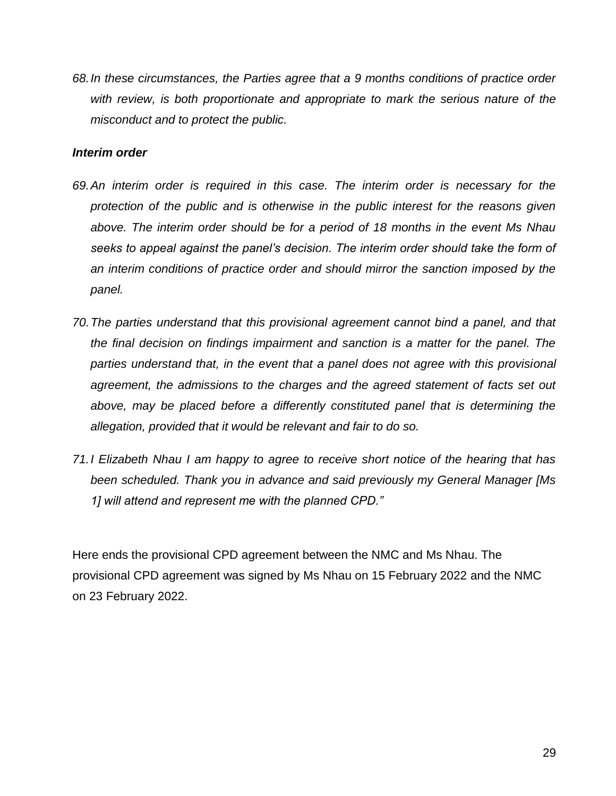*68.In these circumstances, the Parties agree that a 9 months conditions of practice order with review, is both proportionate and appropriate to mark the serious nature of the misconduct and to protect the public.*

### *Interim order*

- *69.An interim order is required in this case. The interim order is necessary for the protection of the public and is otherwise in the public interest for the reasons given above. The interim order should be for a period of 18 months in the event Ms Nhau seeks to appeal against the panel's decision. The interim order should take the form of an interim conditions of practice order and should mirror the sanction imposed by the panel.*
- *70.The parties understand that this provisional agreement cannot bind a panel, and that the final decision on findings impairment and sanction is a matter for the panel. The*  parties understand that, in the event that a panel does not agree with this provisional *agreement, the admissions to the charges and the agreed statement of facts set out above, may be placed before a differently constituted panel that is determining the allegation, provided that it would be relevant and fair to do so.*
- *71.I Elizabeth Nhau I am happy to agree to receive short notice of the hearing that has been scheduled. Thank you in advance and said previously my General Manager [Ms 1] will attend and represent me with the planned CPD."*

Here ends the provisional CPD agreement between the NMC and Ms Nhau. The provisional CPD agreement was signed by Ms Nhau on 15 February 2022 and the NMC on 23 February 2022.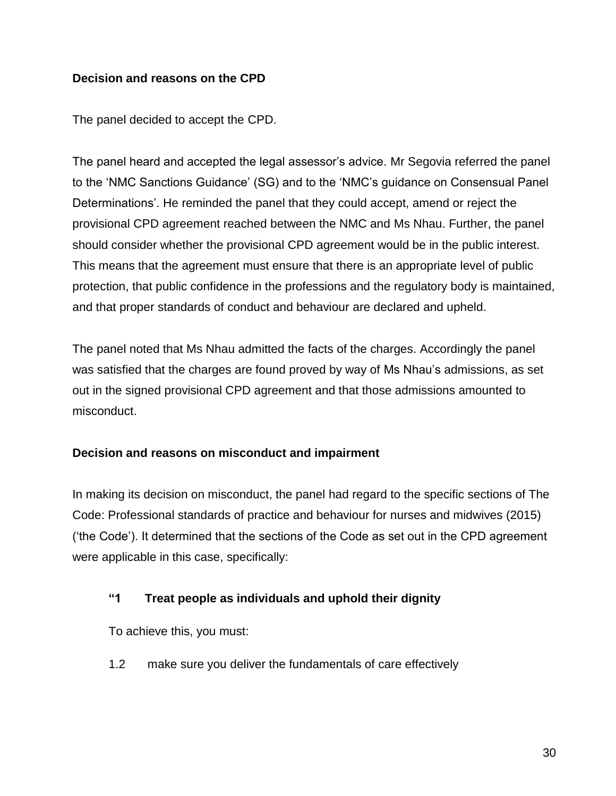# **Decision and reasons on the CPD**

The panel decided to accept the CPD.

The panel heard and accepted the legal assessor's advice. Mr Segovia referred the panel to the 'NMC Sanctions Guidance' (SG) and to the 'NMC's guidance on Consensual Panel Determinations'. He reminded the panel that they could accept, amend or reject the provisional CPD agreement reached between the NMC and Ms Nhau. Further, the panel should consider whether the provisional CPD agreement would be in the public interest. This means that the agreement must ensure that there is an appropriate level of public protection, that public confidence in the professions and the regulatory body is maintained, and that proper standards of conduct and behaviour are declared and upheld.

The panel noted that Ms Nhau admitted the facts of the charges. Accordingly the panel was satisfied that the charges are found proved by way of Ms Nhau's admissions, as set out in the signed provisional CPD agreement and that those admissions amounted to misconduct.

### **Decision and reasons on misconduct and impairment**

In making its decision on misconduct, the panel had regard to the specific sections of The Code: Professional standards of practice and behaviour for nurses and midwives (2015) ('the Code'). It determined that the sections of the Code as set out in the CPD agreement were applicable in this case, specifically:

### **"1 Treat people as individuals and uphold their dignity**

To achieve this, you must:

1.2 make sure you deliver the fundamentals of care effectively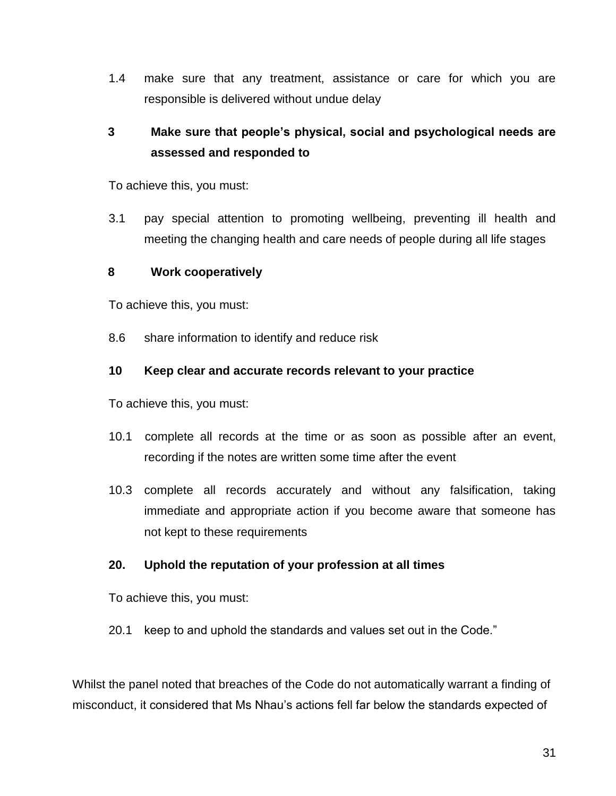1.4 make sure that any treatment, assistance or care for which you are responsible is delivered without undue delay

# **3 Make sure that people's physical, social and psychological needs are assessed and responded to**

To achieve this, you must:

3.1 pay special attention to promoting wellbeing, preventing ill health and meeting the changing health and care needs of people during all life stages

### **8 Work cooperatively**

To achieve this, you must:

8.6 share information to identify and reduce risk

## **10 Keep clear and accurate records relevant to your practice**

To achieve this, you must:

- 10.1 complete all records at the time or as soon as possible after an event, recording if the notes are written some time after the event
- 10.3 complete all records accurately and without any falsification, taking immediate and appropriate action if you become aware that someone has not kept to these requirements

### **20. Uphold the reputation of your profession at all times**

To achieve this, you must:

20.1 keep to and uphold the standards and values set out in the Code."

Whilst the panel noted that breaches of the Code do not automatically warrant a finding of misconduct, it considered that Ms Nhau's actions fell far below the standards expected of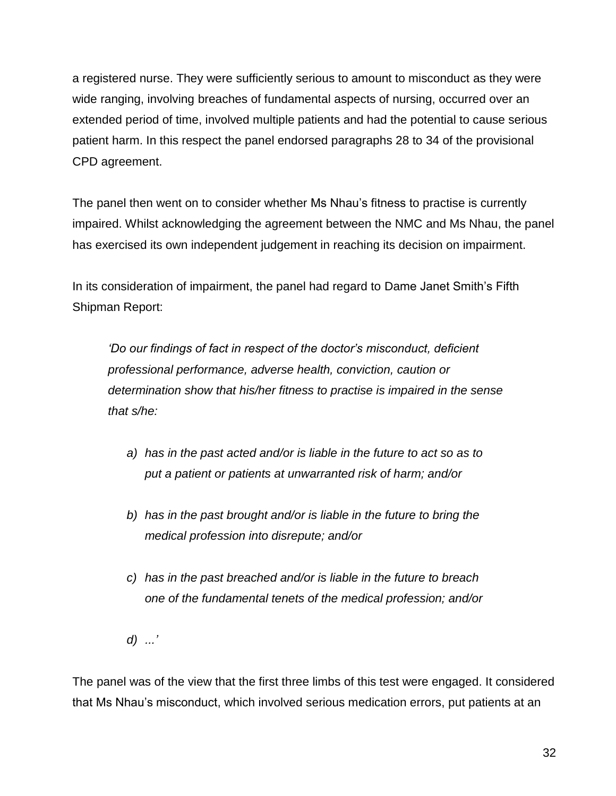a registered nurse. They were sufficiently serious to amount to misconduct as they were wide ranging, involving breaches of fundamental aspects of nursing, occurred over an extended period of time, involved multiple patients and had the potential to cause serious patient harm. In this respect the panel endorsed paragraphs 28 to 34 of the provisional CPD agreement.

The panel then went on to consider whether Ms Nhau's fitness to practise is currently impaired. Whilst acknowledging the agreement between the NMC and Ms Nhau, the panel has exercised its own independent judgement in reaching its decision on impairment.

In its consideration of impairment, the panel had regard to Dame Janet Smith's Fifth Shipman Report:

*'Do our findings of fact in respect of the doctor's misconduct, deficient professional performance, adverse health, conviction, caution or determination show that his/her fitness to practise is impaired in the sense that s/he:*

- *a) has in the past acted and/or is liable in the future to act so as to put a patient or patients at unwarranted risk of harm; and/or*
- *b) has in the past brought and/or is liable in the future to bring the medical profession into disrepute; and/or*
- *c) has in the past breached and/or is liable in the future to breach one of the fundamental tenets of the medical profession; and/or*
- *d) ...'*

The panel was of the view that the first three limbs of this test were engaged. It considered that Ms Nhau's misconduct, which involved serious medication errors, put patients at an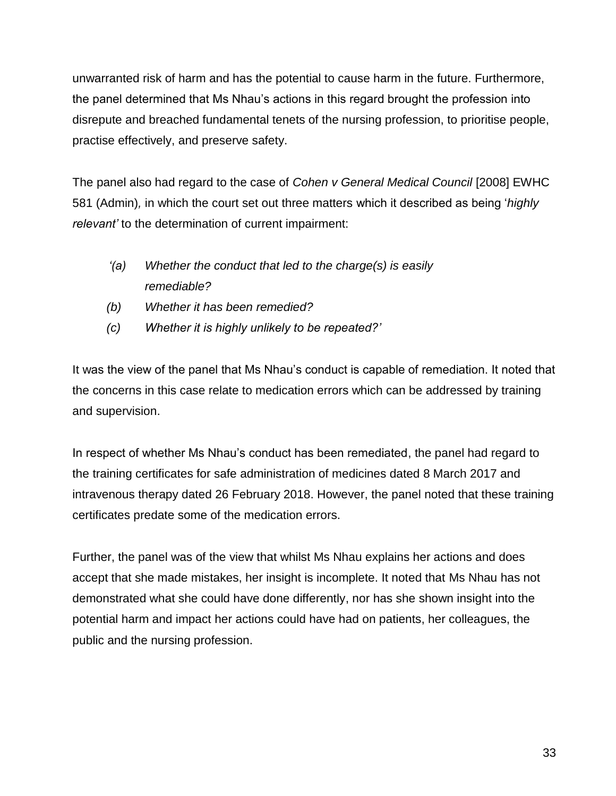unwarranted risk of harm and has the potential to cause harm in the future. Furthermore, the panel determined that Ms Nhau's actions in this regard brought the profession into disrepute and breached fundamental tenets of the nursing profession, to prioritise people, practise effectively, and preserve safety.

The panel also had regard to the case of *Cohen v General Medical Council* [2008] EWHC 581 (Admin)*,* in which the court set out three matters which it described as being '*highly relevant'* to the determination of current impairment:

- *'(a) Whether the conduct that led to the charge(s) is easily remediable?*
- *(b) Whether it has been remedied?*
- *(c) Whether it is highly unlikely to be repeated?'*

It was the view of the panel that Ms Nhau's conduct is capable of remediation. It noted that the concerns in this case relate to medication errors which can be addressed by training and supervision.

In respect of whether Ms Nhau's conduct has been remediated, the panel had regard to the training certificates for safe administration of medicines dated 8 March 2017 and intravenous therapy dated 26 February 2018. However, the panel noted that these training certificates predate some of the medication errors.

Further, the panel was of the view that whilst Ms Nhau explains her actions and does accept that she made mistakes, her insight is incomplete. It noted that Ms Nhau has not demonstrated what she could have done differently, nor has she shown insight into the potential harm and impact her actions could have had on patients, her colleagues, the public and the nursing profession.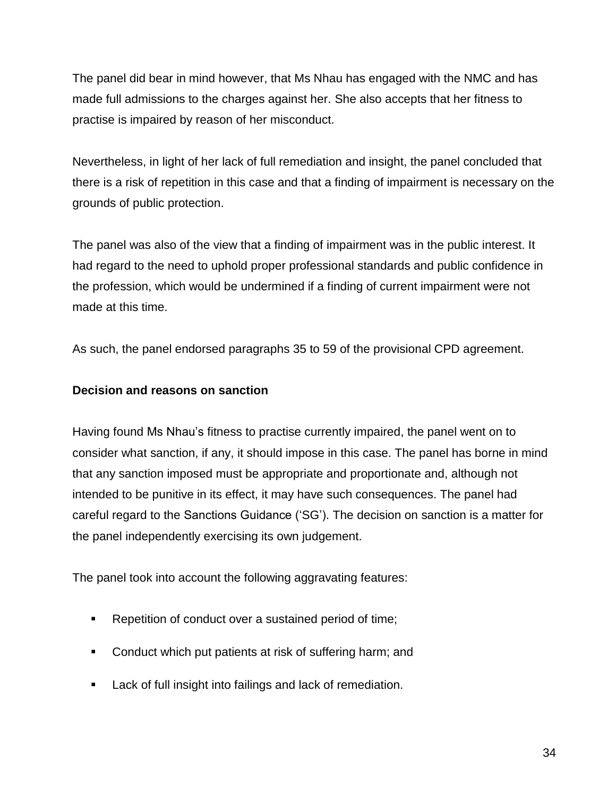The panel did bear in mind however, that Ms Nhau has engaged with the NMC and has made full admissions to the charges against her. She also accepts that her fitness to practise is impaired by reason of her misconduct.

Nevertheless, in light of her lack of full remediation and insight, the panel concluded that there is a risk of repetition in this case and that a finding of impairment is necessary on the grounds of public protection.

The panel was also of the view that a finding of impairment was in the public interest. It had regard to the need to uphold proper professional standards and public confidence in the profession, which would be undermined if a finding of current impairment were not made at this time.

As such, the panel endorsed paragraphs 35 to 59 of the provisional CPD agreement.

# **Decision and reasons on sanction**

Having found Ms Nhau's fitness to practise currently impaired, the panel went on to consider what sanction, if any, it should impose in this case. The panel has borne in mind that any sanction imposed must be appropriate and proportionate and, although not intended to be punitive in its effect, it may have such consequences. The panel had careful regard to the Sanctions Guidance ('SG'). The decision on sanction is a matter for the panel independently exercising its own judgement.

The panel took into account the following aggravating features:

- Repetition of conduct over a sustained period of time;
- **Conduct which put patients at risk of suffering harm; and**
- **Lack of full insight into failings and lack of remediation.**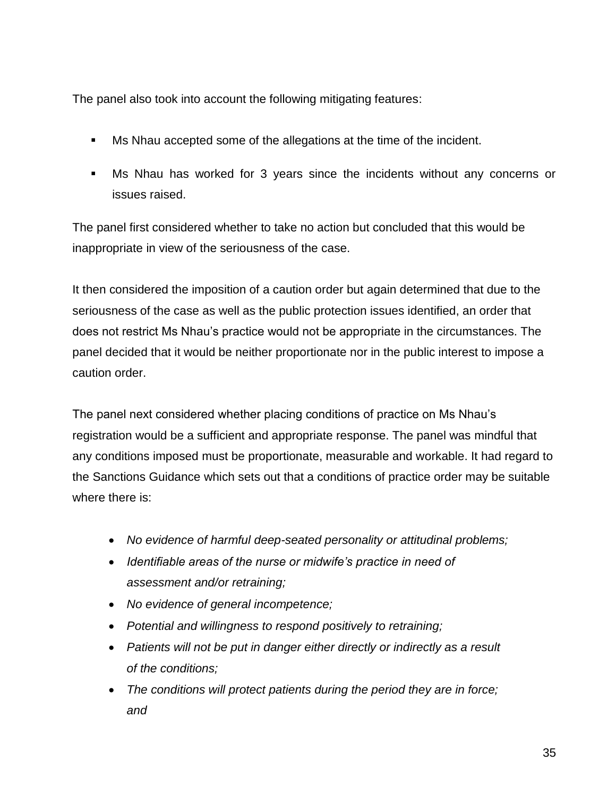The panel also took into account the following mitigating features:

- Ms Nhau accepted some of the allegations at the time of the incident.
- Ms Nhau has worked for 3 years since the incidents without any concerns or issues raised.

The panel first considered whether to take no action but concluded that this would be inappropriate in view of the seriousness of the case.

It then considered the imposition of a caution order but again determined that due to the seriousness of the case as well as the public protection issues identified, an order that does not restrict Ms Nhau's practice would not be appropriate in the circumstances. The panel decided that it would be neither proportionate nor in the public interest to impose a caution order.

The panel next considered whether placing conditions of practice on Ms Nhau's registration would be a sufficient and appropriate response. The panel was mindful that any conditions imposed must be proportionate, measurable and workable. It had regard to the Sanctions Guidance which sets out that a conditions of practice order may be suitable where there is:

- *No evidence of harmful deep-seated personality or attitudinal problems;*
- *Identifiable areas of the nurse or midwife's practice in need of assessment and/or retraining;*
- *No evidence of general incompetence;*
- *Potential and willingness to respond positively to retraining;*
- *Patients will not be put in danger either directly or indirectly as a result of the conditions;*
- *The conditions will protect patients during the period they are in force; and*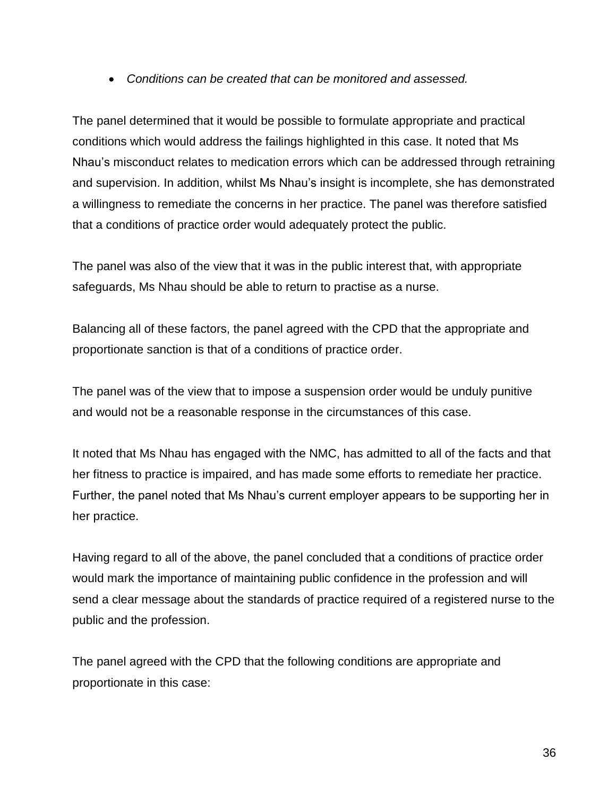*Conditions can be created that can be monitored and assessed.*

The panel determined that it would be possible to formulate appropriate and practical conditions which would address the failings highlighted in this case. It noted that Ms Nhau's misconduct relates to medication errors which can be addressed through retraining and supervision. In addition, whilst Ms Nhau's insight is incomplete, she has demonstrated a willingness to remediate the concerns in her practice. The panel was therefore satisfied that a conditions of practice order would adequately protect the public.

The panel was also of the view that it was in the public interest that, with appropriate safeguards, Ms Nhau should be able to return to practise as a nurse.

Balancing all of these factors, the panel agreed with the CPD that the appropriate and proportionate sanction is that of a conditions of practice order.

The panel was of the view that to impose a suspension order would be unduly punitive and would not be a reasonable response in the circumstances of this case.

It noted that Ms Nhau has engaged with the NMC, has admitted to all of the facts and that her fitness to practice is impaired, and has made some efforts to remediate her practice. Further, the panel noted that Ms Nhau's current employer appears to be supporting her in her practice.

Having regard to all of the above, the panel concluded that a conditions of practice order would mark the importance of maintaining public confidence in the profession and will send a clear message about the standards of practice required of a registered nurse to the public and the profession.

The panel agreed with the CPD that the following conditions are appropriate and proportionate in this case: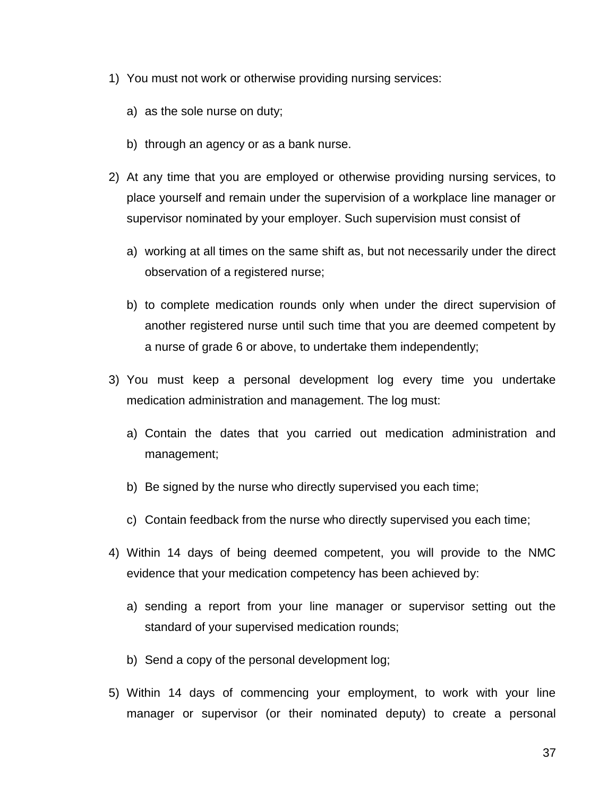- 1) You must not work or otherwise providing nursing services:
	- a) as the sole nurse on duty;
	- b) through an agency or as a bank nurse.
- 2) At any time that you are employed or otherwise providing nursing services, to place yourself and remain under the supervision of a workplace line manager or supervisor nominated by your employer. Such supervision must consist of
	- a) working at all times on the same shift as, but not necessarily under the direct observation of a registered nurse;
	- b) to complete medication rounds only when under the direct supervision of another registered nurse until such time that you are deemed competent by a nurse of grade 6 or above, to undertake them independently;
- 3) You must keep a personal development log every time you undertake medication administration and management. The log must:
	- a) Contain the dates that you carried out medication administration and management;
	- b) Be signed by the nurse who directly supervised you each time;
	- c) Contain feedback from the nurse who directly supervised you each time;
- 4) Within 14 days of being deemed competent, you will provide to the NMC evidence that your medication competency has been achieved by:
	- a) sending a report from your line manager or supervisor setting out the standard of your supervised medication rounds;
	- b) Send a copy of the personal development log;
- 5) Within 14 days of commencing your employment, to work with your line manager or supervisor (or their nominated deputy) to create a personal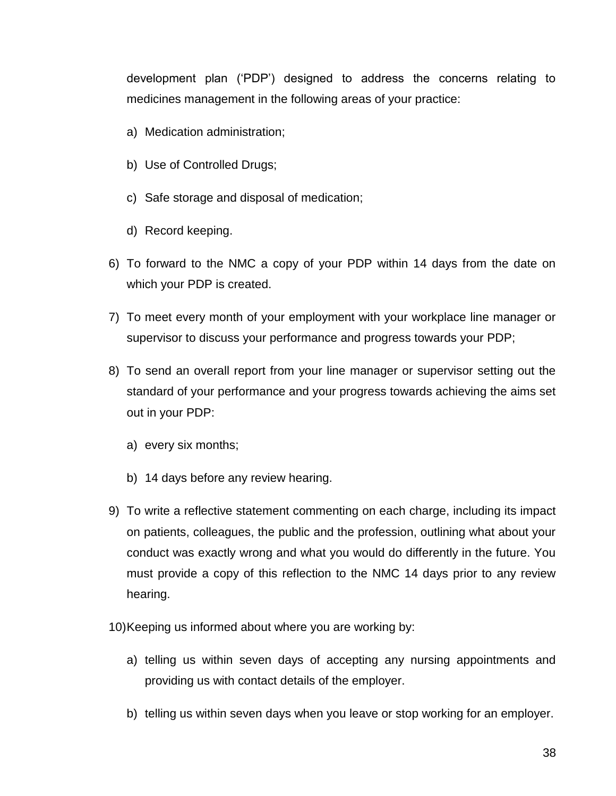development plan ('PDP') designed to address the concerns relating to medicines management in the following areas of your practice:

- a) Medication administration;
- b) Use of Controlled Drugs;
- c) Safe storage and disposal of medication;
- d) Record keeping.
- 6) To forward to the NMC a copy of your PDP within 14 days from the date on which your PDP is created.
- 7) To meet every month of your employment with your workplace line manager or supervisor to discuss your performance and progress towards your PDP;
- 8) To send an overall report from your line manager or supervisor setting out the standard of your performance and your progress towards achieving the aims set out in your PDP:
	- a) every six months;
	- b) 14 days before any review hearing.
- 9) To write a reflective statement commenting on each charge, including its impact on patients, colleagues, the public and the profession, outlining what about your conduct was exactly wrong and what you would do differently in the future. You must provide a copy of this reflection to the NMC 14 days prior to any review hearing.
- 10)Keeping us informed about where you are working by:
	- a) telling us within seven days of accepting any nursing appointments and providing us with contact details of the employer.
	- b) telling us within seven days when you leave or stop working for an employer.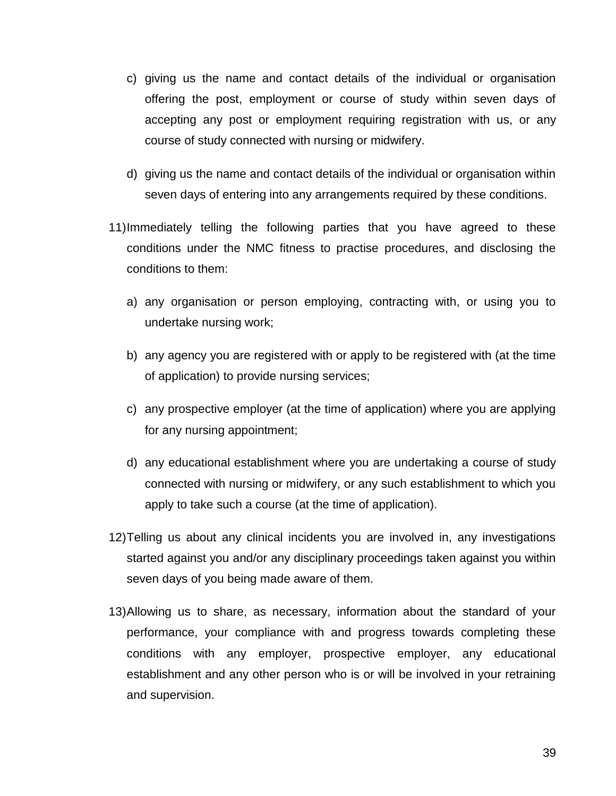- c) giving us the name and contact details of the individual or organisation offering the post, employment or course of study within seven days of accepting any post or employment requiring registration with us, or any course of study connected with nursing or midwifery.
- d) giving us the name and contact details of the individual or organisation within seven days of entering into any arrangements required by these conditions.
- 11)Immediately telling the following parties that you have agreed to these conditions under the NMC fitness to practise procedures, and disclosing the conditions to them:
	- a) any organisation or person employing, contracting with, or using you to undertake nursing work;
	- b) any agency you are registered with or apply to be registered with (at the time of application) to provide nursing services;
	- c) any prospective employer (at the time of application) where you are applying for any nursing appointment;
	- d) any educational establishment where you are undertaking a course of study connected with nursing or midwifery, or any such establishment to which you apply to take such a course (at the time of application).
- 12)Telling us about any clinical incidents you are involved in, any investigations started against you and/or any disciplinary proceedings taken against you within seven days of you being made aware of them.
- 13)Allowing us to share, as necessary, information about the standard of your performance, your compliance with and progress towards completing these conditions with any employer, prospective employer, any educational establishment and any other person who is or will be involved in your retraining and supervision.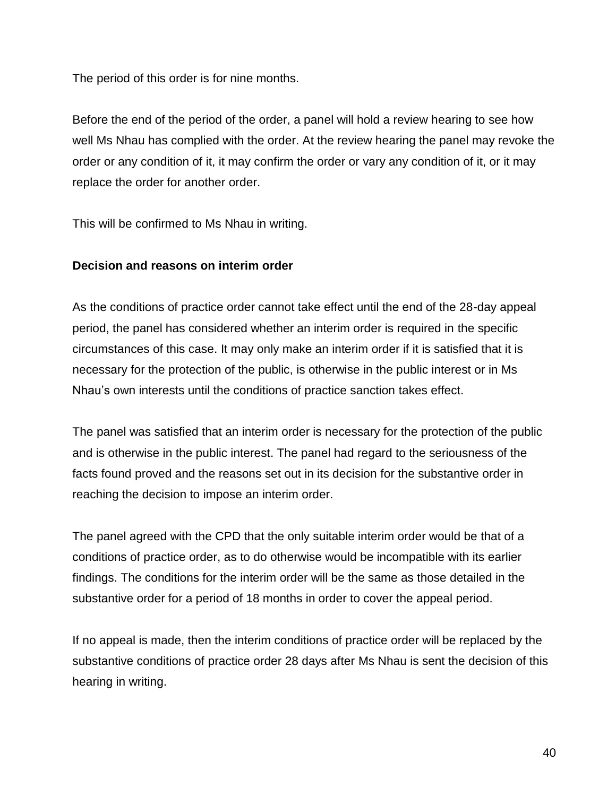The period of this order is for nine months.

Before the end of the period of the order, a panel will hold a review hearing to see how well Ms Nhau has complied with the order. At the review hearing the panel may revoke the order or any condition of it, it may confirm the order or vary any condition of it, or it may replace the order for another order.

This will be confirmed to Ms Nhau in writing.

# **Decision and reasons on interim order**

As the conditions of practice order cannot take effect until the end of the 28-day appeal period, the panel has considered whether an interim order is required in the specific circumstances of this case. It may only make an interim order if it is satisfied that it is necessary for the protection of the public, is otherwise in the public interest or in Ms Nhau's own interests until the conditions of practice sanction takes effect.

The panel was satisfied that an interim order is necessary for the protection of the public and is otherwise in the public interest. The panel had regard to the seriousness of the facts found proved and the reasons set out in its decision for the substantive order in reaching the decision to impose an interim order.

The panel agreed with the CPD that the only suitable interim order would be that of a conditions of practice order, as to do otherwise would be incompatible with its earlier findings. The conditions for the interim order will be the same as those detailed in the substantive order for a period of 18 months in order to cover the appeal period.

If no appeal is made, then the interim conditions of practice order will be replaced by the substantive conditions of practice order 28 days after Ms Nhau is sent the decision of this hearing in writing.